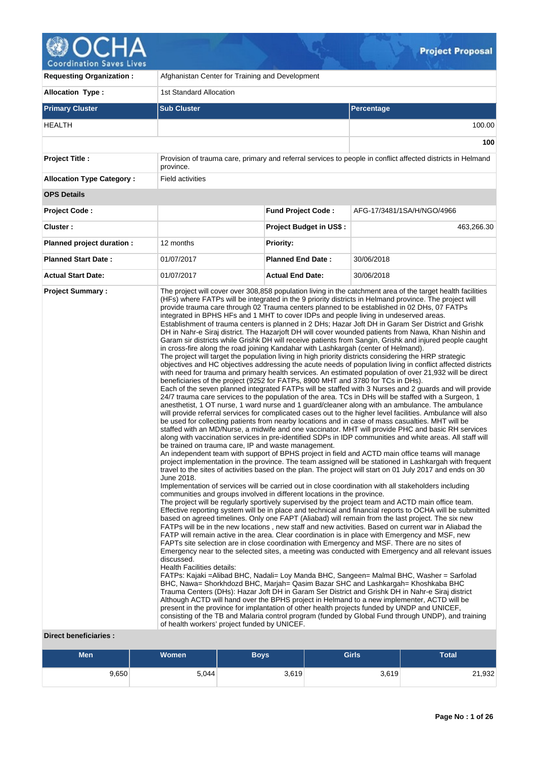

ハ

| <b>Requesting Organization:</b>                 | Afghanistan Center for Training and Development                                                                                                                                                                                                                                                                                                                                                                                                                                                                    |                                |                                                                                                                                                                                                                                                                                                                                                                                                                                                                                                                                                                                                                                                                                                                                                                                                                                                                                                                                                                                                                                                                                                                                                                                                                                                                                                                                                                                                                                                                                                                                                                                                                                                                                                                                                                                                                                                                                                                                                                                                                                                                                                                                                                                                                                                                                                                                                                                                                                                                                                                                                                                                                                                                                                                                                                                                                                                                                                                                                                                                                                                                                                                                                                                                                                                                                                                                                                                                                                                                                                                              |  |  |  |  |  |  |  |  |
|-------------------------------------------------|--------------------------------------------------------------------------------------------------------------------------------------------------------------------------------------------------------------------------------------------------------------------------------------------------------------------------------------------------------------------------------------------------------------------------------------------------------------------------------------------------------------------|--------------------------------|------------------------------------------------------------------------------------------------------------------------------------------------------------------------------------------------------------------------------------------------------------------------------------------------------------------------------------------------------------------------------------------------------------------------------------------------------------------------------------------------------------------------------------------------------------------------------------------------------------------------------------------------------------------------------------------------------------------------------------------------------------------------------------------------------------------------------------------------------------------------------------------------------------------------------------------------------------------------------------------------------------------------------------------------------------------------------------------------------------------------------------------------------------------------------------------------------------------------------------------------------------------------------------------------------------------------------------------------------------------------------------------------------------------------------------------------------------------------------------------------------------------------------------------------------------------------------------------------------------------------------------------------------------------------------------------------------------------------------------------------------------------------------------------------------------------------------------------------------------------------------------------------------------------------------------------------------------------------------------------------------------------------------------------------------------------------------------------------------------------------------------------------------------------------------------------------------------------------------------------------------------------------------------------------------------------------------------------------------------------------------------------------------------------------------------------------------------------------------------------------------------------------------------------------------------------------------------------------------------------------------------------------------------------------------------------------------------------------------------------------------------------------------------------------------------------------------------------------------------------------------------------------------------------------------------------------------------------------------------------------------------------------------------------------------------------------------------------------------------------------------------------------------------------------------------------------------------------------------------------------------------------------------------------------------------------------------------------------------------------------------------------------------------------------------------------------------------------------------------------------------------------------------|--|--|--|--|--|--|--|--|
| <b>Allocation Type:</b>                         | <b>1st Standard Allocation</b>                                                                                                                                                                                                                                                                                                                                                                                                                                                                                     |                                |                                                                                                                                                                                                                                                                                                                                                                                                                                                                                                                                                                                                                                                                                                                                                                                                                                                                                                                                                                                                                                                                                                                                                                                                                                                                                                                                                                                                                                                                                                                                                                                                                                                                                                                                                                                                                                                                                                                                                                                                                                                                                                                                                                                                                                                                                                                                                                                                                                                                                                                                                                                                                                                                                                                                                                                                                                                                                                                                                                                                                                                                                                                                                                                                                                                                                                                                                                                                                                                                                                                              |  |  |  |  |  |  |  |  |
| <b>Primary Cluster</b>                          | <b>Sub Cluster</b>                                                                                                                                                                                                                                                                                                                                                                                                                                                                                                 |                                | Percentage                                                                                                                                                                                                                                                                                                                                                                                                                                                                                                                                                                                                                                                                                                                                                                                                                                                                                                                                                                                                                                                                                                                                                                                                                                                                                                                                                                                                                                                                                                                                                                                                                                                                                                                                                                                                                                                                                                                                                                                                                                                                                                                                                                                                                                                                                                                                                                                                                                                                                                                                                                                                                                                                                                                                                                                                                                                                                                                                                                                                                                                                                                                                                                                                                                                                                                                                                                                                                                                                                                                   |  |  |  |  |  |  |  |  |
| HEALTH                                          |                                                                                                                                                                                                                                                                                                                                                                                                                                                                                                                    |                                | 100.00                                                                                                                                                                                                                                                                                                                                                                                                                                                                                                                                                                                                                                                                                                                                                                                                                                                                                                                                                                                                                                                                                                                                                                                                                                                                                                                                                                                                                                                                                                                                                                                                                                                                                                                                                                                                                                                                                                                                                                                                                                                                                                                                                                                                                                                                                                                                                                                                                                                                                                                                                                                                                                                                                                                                                                                                                                                                                                                                                                                                                                                                                                                                                                                                                                                                                                                                                                                                                                                                                                                       |  |  |  |  |  |  |  |  |
|                                                 |                                                                                                                                                                                                                                                                                                                                                                                                                                                                                                                    |                                | 100                                                                                                                                                                                                                                                                                                                                                                                                                                                                                                                                                                                                                                                                                                                                                                                                                                                                                                                                                                                                                                                                                                                                                                                                                                                                                                                                                                                                                                                                                                                                                                                                                                                                                                                                                                                                                                                                                                                                                                                                                                                                                                                                                                                                                                                                                                                                                                                                                                                                                                                                                                                                                                                                                                                                                                                                                                                                                                                                                                                                                                                                                                                                                                                                                                                                                                                                                                                                                                                                                                                          |  |  |  |  |  |  |  |  |
| <b>Project Title:</b>                           | province.                                                                                                                                                                                                                                                                                                                                                                                                                                                                                                          |                                | Provision of trauma care, primary and referral services to people in conflict affected districts in Helmand                                                                                                                                                                                                                                                                                                                                                                                                                                                                                                                                                                                                                                                                                                                                                                                                                                                                                                                                                                                                                                                                                                                                                                                                                                                                                                                                                                                                                                                                                                                                                                                                                                                                                                                                                                                                                                                                                                                                                                                                                                                                                                                                                                                                                                                                                                                                                                                                                                                                                                                                                                                                                                                                                                                                                                                                                                                                                                                                                                                                                                                                                                                                                                                                                                                                                                                                                                                                                  |  |  |  |  |  |  |  |  |
| <b>Allocation Type Category:</b>                | <b>Field activities</b>                                                                                                                                                                                                                                                                                                                                                                                                                                                                                            |                                |                                                                                                                                                                                                                                                                                                                                                                                                                                                                                                                                                                                                                                                                                                                                                                                                                                                                                                                                                                                                                                                                                                                                                                                                                                                                                                                                                                                                                                                                                                                                                                                                                                                                                                                                                                                                                                                                                                                                                                                                                                                                                                                                                                                                                                                                                                                                                                                                                                                                                                                                                                                                                                                                                                                                                                                                                                                                                                                                                                                                                                                                                                                                                                                                                                                                                                                                                                                                                                                                                                                              |  |  |  |  |  |  |  |  |
| <b>OPS Details</b>                              |                                                                                                                                                                                                                                                                                                                                                                                                                                                                                                                    |                                |                                                                                                                                                                                                                                                                                                                                                                                                                                                                                                                                                                                                                                                                                                                                                                                                                                                                                                                                                                                                                                                                                                                                                                                                                                                                                                                                                                                                                                                                                                                                                                                                                                                                                                                                                                                                                                                                                                                                                                                                                                                                                                                                                                                                                                                                                                                                                                                                                                                                                                                                                                                                                                                                                                                                                                                                                                                                                                                                                                                                                                                                                                                                                                                                                                                                                                                                                                                                                                                                                                                              |  |  |  |  |  |  |  |  |
| <b>Project Code:</b>                            |                                                                                                                                                                                                                                                                                                                                                                                                                                                                                                                    | <b>Fund Project Code:</b>      | AFG-17/3481/1SA/H/NGO/4966                                                                                                                                                                                                                                                                                                                                                                                                                                                                                                                                                                                                                                                                                                                                                                                                                                                                                                                                                                                                                                                                                                                                                                                                                                                                                                                                                                                                                                                                                                                                                                                                                                                                                                                                                                                                                                                                                                                                                                                                                                                                                                                                                                                                                                                                                                                                                                                                                                                                                                                                                                                                                                                                                                                                                                                                                                                                                                                                                                                                                                                                                                                                                                                                                                                                                                                                                                                                                                                                                                   |  |  |  |  |  |  |  |  |
| Cluster:                                        |                                                                                                                                                                                                                                                                                                                                                                                                                                                                                                                    | <b>Project Budget in US\$:</b> | 463,266.30                                                                                                                                                                                                                                                                                                                                                                                                                                                                                                                                                                                                                                                                                                                                                                                                                                                                                                                                                                                                                                                                                                                                                                                                                                                                                                                                                                                                                                                                                                                                                                                                                                                                                                                                                                                                                                                                                                                                                                                                                                                                                                                                                                                                                                                                                                                                                                                                                                                                                                                                                                                                                                                                                                                                                                                                                                                                                                                                                                                                                                                                                                                                                                                                                                                                                                                                                                                                                                                                                                                   |  |  |  |  |  |  |  |  |
| Planned project duration :                      | 12 months                                                                                                                                                                                                                                                                                                                                                                                                                                                                                                          | <b>Priority:</b>               |                                                                                                                                                                                                                                                                                                                                                                                                                                                                                                                                                                                                                                                                                                                                                                                                                                                                                                                                                                                                                                                                                                                                                                                                                                                                                                                                                                                                                                                                                                                                                                                                                                                                                                                                                                                                                                                                                                                                                                                                                                                                                                                                                                                                                                                                                                                                                                                                                                                                                                                                                                                                                                                                                                                                                                                                                                                                                                                                                                                                                                                                                                                                                                                                                                                                                                                                                                                                                                                                                                                              |  |  |  |  |  |  |  |  |
| <b>Planned Start Date:</b>                      | 01/07/2017                                                                                                                                                                                                                                                                                                                                                                                                                                                                                                         | <b>Planned End Date:</b>       | 30/06/2018                                                                                                                                                                                                                                                                                                                                                                                                                                                                                                                                                                                                                                                                                                                                                                                                                                                                                                                                                                                                                                                                                                                                                                                                                                                                                                                                                                                                                                                                                                                                                                                                                                                                                                                                                                                                                                                                                                                                                                                                                                                                                                                                                                                                                                                                                                                                                                                                                                                                                                                                                                                                                                                                                                                                                                                                                                                                                                                                                                                                                                                                                                                                                                                                                                                                                                                                                                                                                                                                                                                   |  |  |  |  |  |  |  |  |
| <b>Actual Start Date:</b>                       | 01/07/2017                                                                                                                                                                                                                                                                                                                                                                                                                                                                                                         | <b>Actual End Date:</b>        | 30/06/2018                                                                                                                                                                                                                                                                                                                                                                                                                                                                                                                                                                                                                                                                                                                                                                                                                                                                                                                                                                                                                                                                                                                                                                                                                                                                                                                                                                                                                                                                                                                                                                                                                                                                                                                                                                                                                                                                                                                                                                                                                                                                                                                                                                                                                                                                                                                                                                                                                                                                                                                                                                                                                                                                                                                                                                                                                                                                                                                                                                                                                                                                                                                                                                                                                                                                                                                                                                                                                                                                                                                   |  |  |  |  |  |  |  |  |
| <b>Project Summary:</b><br>Direct heneficiaries | integrated in BPHS HFs and 1 MHT to cover IDPs and people living in undeserved areas.<br>in cross-fire along the road joining Kandahar with Lashkargah (center of Helmand).<br>beneficiaries of the project (9252 for FATPs, 8900 MHT and 3780 for TCs in DHs).<br>be trained on trauma care, IP and waste management.<br>June 2018.<br>communities and groups involved in different locations in the province.<br>discussed.<br><b>Health Facilities details:</b><br>of health workers' project funded by UNICEF. |                                | The project will cover over 308,858 population living in the catchment area of the target health facilities<br>(HFs) where FATPs will be integrated in the 9 priority districts in Helmand province. The project will<br>provide trauma care through 02 Trauma centers planned to be established in 02 DHs, 07 FATPs<br>Establishment of trauma centers is planned in 2 DHs; Hazar Joft DH in Garam Ser District and Grishk<br>DH in Nahr-e Siraj district. The Hazarjoft DH will cover wounded patients from Nawa, Khan Nishin and<br>Garam sir districts while Grishk DH will receive patients from Sangin, Grishk and injured people caught<br>The project will target the population living in high priority districts considering the HRP strategic<br>objectives and HC objectives addressing the acute needs of population living in conflict affected districts<br>with need for trauma and primary health services. An estimated population of over 21,932 will be direct<br>Each of the seven planned integrated FATPs will be staffed with 3 Nurses and 2 guards and will provide<br>24/7 trauma care services to the population of the area. TCs in DHs will be staffed with a Surgeon, 1<br>anesthetist, 1 OT nurse, 1 ward nurse and 1 guard/cleaner along with an ambulance. The ambulance<br>will provide referral services for complicated cases out to the higher level facilities. Ambulance will also<br>be used for collecting patients from nearby locations and in case of mass casualties. MHT will be<br>staffed with an MD/Nurse, a midwife and one vaccinator. MHT will provide PHC and basic RH services<br>along with vaccination services in pre-identified SDPs in IDP communities and white areas. All staff will<br>An independent team with support of BPHS project in field and ACTD main office teams will manage<br>project implementation in the province. The team assigned will be stationed in Lashkargah with frequent<br>travel to the sites of activities based on the plan. The project will start on 01 July 2017 and ends on 30<br>Implementation of services will be carried out in close coordination with all stakeholders including<br>The project will be regularly sportively supervised by the project team and ACTD main office team.<br>Effective reporting system will be in place and technical and financial reports to OCHA will be submitted<br>based on agreed timelines. Only one FAPT (Aliabad) will remain from the last project. The six new<br>FATPs will be in the new locations, new staff and new activities. Based on current war in Aliabad the<br>FATP will remain active in the area. Clear coordination is in place with Emergency and MSF, new<br>FAPTs site selection are in close coordination with Emergency and MSF. There are no sites of<br>Emergency near to the selected sites, a meeting was conducted with Emergency and all relevant issues<br>FATPs: Kajaki =Alibad BHC, Nadali= Loy Manda BHC, Sangeen= Malmal BHC, Washer = Sarfolad<br>BHC, Nawa= Shorkhdozd BHC, Marjah= Qasim Bazar SHC and Lashkargah= Khoshkaba BHC<br>Trauma Centers (DHs): Hazar Joft DH in Garam Ser District and Grishk DH in Nahr-e Siraj district<br>Although ACTD will hand over the BPHS project in Helmand to a new implementer, ACTD will be<br>present in the province for implantation of other health projects funded by UNDP and UNICEF,<br>consisting of the TB and Malaria control program (funded by Global Fund through UNDP), and training |  |  |  |  |  |  |  |  |

 $\mathcal{A}_{\text{max}}$ 

#### **Direct beneficiaries :**

| <b>Men</b> | <b>Women</b> | <b>Boys</b> | <b>Girls</b> | <b>Total</b> |
|------------|--------------|-------------|--------------|--------------|
| 9,650      | 5,044        | 3,619       | 3,619        | 21,932       |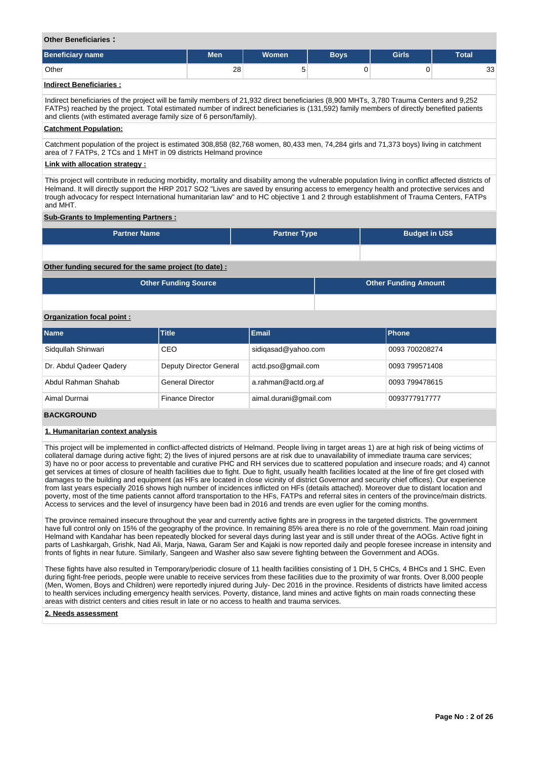#### **Other Beneficiaries :**

| <b>Beneficiary name</b> | <b>Men</b> | <b>Women</b> | <b>Boys</b> | <b>Girls</b> | <b>Total</b> |
|-------------------------|------------|--------------|-------------|--------------|--------------|
| Other                   | 28         | ັ            |             |              | 33           |
| Indirect Reneficiaries  |            |              |             |              |              |

#### **Indirect Beneficiaries :**

Indirect beneficiaries of the project will be family members of 21,932 direct beneficiaries (8,900 MHTs, 3,780 Trauma Centers and 9,252 FATPs) reached by the project. Total estimated number of indirect beneficiaries is (131,592) family members of directly benefited patients and clients (with estimated average family size of 6 person/family).

#### **Catchment Population:**

Catchment population of the project is estimated 308,858 (82,768 women, 80,433 men, 74,284 girls and 71,373 boys) living in catchment area of 7 FATPs, 2 TCs and 1 MHT in 09 districts Helmand province

#### **Link with allocation strategy :**

This project will contribute in reducing morbidity, mortality and disability among the vulnerable population living in conflict affected districts of Helmand. It will directly support the HRP 2017 SO2 "Lives are saved by ensuring access to emergency health and protective services and trough advocacy for respect International humanitarian law" and to HC objective 1 and 2 through establishment of Trauma Centers, FATPs and MHT.

#### **Sub-Grants to Implementing Partners :**

| <b>Partner Name</b>                                   | <b>Partner Type</b> | <b>Budget in US\$</b>       |
|-------------------------------------------------------|---------------------|-----------------------------|
|                                                       |                     |                             |
| Other funding secured for the same project (to date): |                     |                             |
| <b>Other Funding Source</b>                           |                     | <b>Other Funding Amount</b> |

#### **Organization focal point :**

| <b>Name</b>             | <b>Title</b>            | <b>Email</b>           | <b>Phone</b>   |
|-------------------------|-------------------------|------------------------|----------------|
| Sidgullah Shinwari      | CEO                     | sidigasad@yahoo.com    | 0093 700208274 |
| Dr. Abdul Qadeer Qadery | Deputy Director General | actd.pso@gmail.com     | 0093 799571408 |
| Abdul Rahman Shahab     | <b>General Director</b> | a.rahman@actd.org.af   | 0093 799478615 |
| Aimal Durrnai           | <b>Finance Director</b> | aimal.durani@gmail.com | 0093777917777  |

### **BACKGROUND**

#### **1. Humanitarian context analysis**

This project will be implemented in conflict-affected districts of Helmand. People living in target areas 1) are at high risk of being victims of collateral damage during active fight; 2) the lives of injured persons are at risk due to unavailability of immediate trauma care services; 3) have no or poor access to preventable and curative PHC and RH services due to scattered population and insecure roads; and 4) cannot get services at times of closure of health facilities due to fight. Due to fight, usually health facilities located at the line of fire get closed with damages to the building and equipment (as HFs are located in close vicinity of district Governor and security chief offices). Our experience from last years especially 2016 shows high number of incidences inflicted on HFs (details attached). Moreover due to distant location and poverty, most of the time patients cannot afford transportation to the HFs, FATPs and referral sites in centers of the province/main districts. Access to services and the level of insurgency have been bad in 2016 and trends are even uglier for the coming months.

The province remained insecure throughout the year and currently active fights are in progress in the targeted districts. The government have full control only on 15% of the geography of the province. In remaining 85% area there is no role of the government. Main road joining Helmand with Kandahar has been repeatedly blocked for several days during last year and is still under threat of the AOGs. Active fight in parts of Lashkargah, Grishk, Nad Ali, Marja, Nawa, Garam Ser and Kajaki is now reported daily and people foresee increase in intensity and fronts of fights in near future. Similarly, Sangeen and Washer also saw severe fighting between the Government and AOGs.

These fights have also resulted in Temporary/periodic closure of 11 health facilities consisting of 1 DH, 5 CHCs, 4 BHCs and 1 SHC. Even during fight-free periods, people were unable to receive services from these facilities due to the proximity of war fronts. Over 8,000 people (Men, Women, Boys and Children) were reportedly injured during July- Dec 2016 in the province. Residents of districts have limited access to health services including emergency health services. Poverty, distance, land mines and active fights on main roads connecting these areas with district centers and cities result in late or no access to health and trauma services.

#### **2. Needs assessment**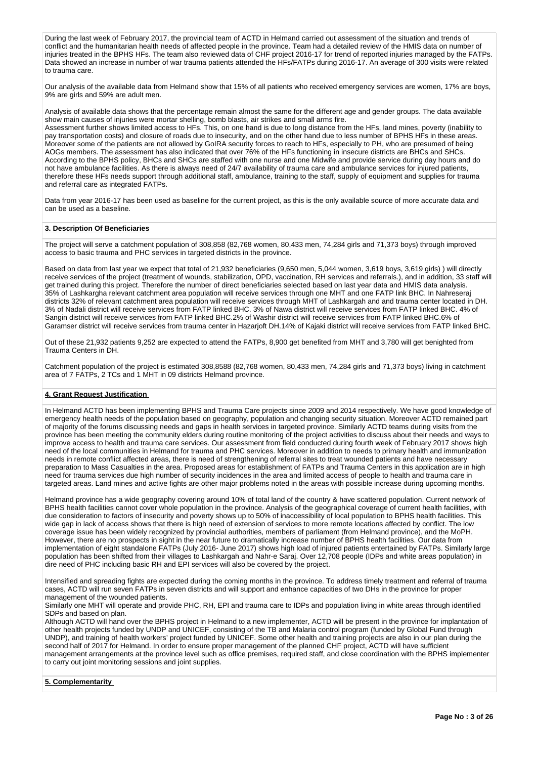During the last week of February 2017, the provincial team of ACTD in Helmand carried out assessment of the situation and trends of conflict and the humanitarian health needs of affected people in the province. Team had a detailed review of the HMIS data on number of injuries treated in the BPHS HFs. The team also reviewed data of CHF project 2016-17 for trend of reported injuries managed by the FATPs. Data showed an increase in number of war trauma patients attended the HFs/FATPs during 2016-17. An average of 300 visits were related to trauma care.

Our analysis of the available data from Helmand show that 15% of all patients who received emergency services are women, 17% are boys, 9% are girls and 59% are adult men.

Analysis of available data shows that the percentage remain almost the same for the different age and gender groups. The data available show main causes of injuries were mortar shelling, bomb blasts, air strikes and small arms fire.

Assessment further shows limited access to HFs. This, on one hand is due to long distance from the HFs, land mines, poverty (inability to pay transportation costs) and closure of roads due to insecurity, and on the other hand due to less number of BPHS HFs in these areas. Moreover some of the patients are not allowed by GoIRA security forces to reach to HFs, especially to PH, who are presumed of being AOGs members. The assessment has also indicated that over 76% of the HFs functioning in insecure districts are BHCs and SHCs. According to the BPHS policy, BHCs and SHCs are staffed with one nurse and one Midwife and provide service during day hours and do not have ambulance facilities. As there is always need of 24/7 availability of trauma care and ambulance services for injured patients, therefore these HFs needs support through additional staff, ambulance, training to the staff, supply of equipment and supplies for trauma and referral care as integrated FATPs.

Data from year 2016-17 has been used as baseline for the current project, as this is the only available source of more accurate data and can be used as a baseline.

# **3. Description Of Beneficiaries**

The project will serve a catchment population of 308,858 (82,768 women, 80,433 men, 74,284 girls and 71,373 boys) through improved access to basic trauma and PHC services in targeted districts in the province.

Based on data from last year we expect that total of 21,932 beneficiaries (9,650 men, 5,044 women, 3,619 boys, 3,619 girls) ) will directly receive services of the project (treatment of wounds, stabilization, OPD, vaccination, RH services and referrals.), and in addition, 33 staff will get trained during this project. Therefore the number of direct beneficiaries selected based on last year data and HMIS data analysis. 35% of Lashkargha relevant catchment area population will receive services through one MHT and one FATP link BHC. In Nahreseraj districts 32% of relevant catchment area population will receive services through MHT of Lashkargah and and trauma center located in DH. 3% of Nadali district will receive services from FATP linked BHC. 3% of Nawa district will receive services from FATP linked BHC. 4% of Sangin district will receive services from FATP linked BHC.2% of Washir district will receive services from FATP linked BHC.6% of Garamser district will receive services from trauma center in Hazarjoft DH.14% of Kajaki district will receive services from FATP linked BHC.

Out of these 21,932 patients 9,252 are expected to attend the FATPs, 8,900 get benefited from MHT and 3,780 will get benighted from Trauma Centers in DH.

Catchment population of the project is estimated 308,8588 (82,768 women, 80,433 men, 74,284 girls and 71,373 boys) living in catchment area of 7 FATPs, 2 TCs and 1 MHT in 09 districts Helmand province.

# **4. Grant Request Justification**

In Helmand ACTD has been implementing BPHS and Trauma Care projects since 2009 and 2014 respectively. We have good knowledge of emergency health needs of the population based on geography, population and changing security situation. Moreover ACTD remained part of majority of the forums discussing needs and gaps in health services in targeted province. Similarly ACTD teams during visits from the province has been meeting the community elders during routine monitoring of the project activities to discuss about their needs and ways to improve access to health and trauma care services. Our assessment from field conducted during fourth week of February 2017 shows high need of the local communities in Helmand for trauma and PHC services. Moreover in addition to needs to primary health and immunization needs in remote conflict affected areas, there is need of strengthening of referral sites to treat wounded patients and have necessary preparation to Mass Casualties in the area. Proposed areas for establishment of FATPs and Trauma Centers in this application are in high need for trauma services due high number of security incidences in the area and limited access of people to health and trauma care in targeted areas. Land mines and active fights are other major problems noted in the areas with possible increase during upcoming months.

Helmand province has a wide geography covering around 10% of total land of the country & have scattered population. Current network of BPHS health facilities cannot cover whole population in the province. Analysis of the geographical coverage of current health facilities, with due consideration to factors of insecurity and poverty shows up to 50% of inaccessibility of local population to BPHS health facilities. This wide gap in lack of access shows that there is high need of extension of services to more remote locations affected by conflict. The low coverage issue has been widely recognized by provincial authorities, members of parliament (from Helmand province), and the MoPH. However, there are no prospects in sight in the near future to dramatically increase number of BPHS health facilities. Our data from implementation of eight standalone FATPs (July 2016- June 2017) shows high load of injured patients entertained by FATPs. Similarly large population has been shifted from their villages to Lashkargah and Nahr-e Saraj. Over 12,708 people (IDPs and white areas population) in dire need of PHC including basic RH and EPI services will also be covered by the project.

Intensified and spreading fights are expected during the coming months in the province. To address timely treatment and referral of trauma cases, ACTD will run seven FATPs in seven districts and will support and enhance capacities of two DHs in the province for proper management of the wounded patients.

Similarly one MHT will operate and provide PHC, RH, EPI and trauma care to IDPs and population living in white areas through identified SDPs and based on plan.

Although ACTD will hand over the BPHS project in Helmand to a new implementer, ACTD will be present in the province for implantation of other health projects funded by UNDP and UNICEF, consisting of the TB and Malaria control program (funded by Global Fund through UNDP), and training of health workers' project funded by UNICEF. Some other health and training projects are also in our plan during the second half of 2017 for Helmand. In order to ensure proper management of the planned CHF project, ACTD will have sufficient management arrangements at the province level such as office premises, required staff, and close coordination with the BPHS implementer to carry out joint monitoring sessions and joint supplies.

# **5. Complementarity**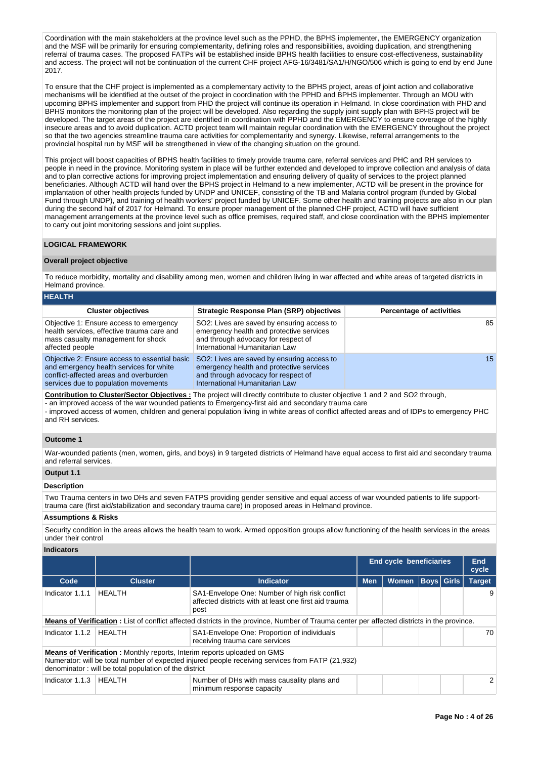Coordination with the main stakeholders at the province level such as the PPHD, the BPHS implementer, the EMERGENCY organization and the MSF will be primarily for ensuring complementarity, defining roles and responsibilities, avoiding duplication, and strengthening referral of trauma cases. The proposed FATPs will be established inside BPHS health facilities to ensure cost-effectiveness, sustainability and access. The project will not be continuation of the current CHF project AFG-16/3481/SA1/H/NGO/506 which is going to end by end June 2017.

To ensure that the CHF project is implemented as a complementary activity to the BPHS project, areas of joint action and collaborative mechanisms will be identified at the outset of the project in coordination with the PPHD and BPHS implementer. Through an MOU with upcoming BPHS implementer and support from PHD the project will continue its operation in Helmand. In close coordination with PHD and BPHS monitors the monitoring plan of the project will be developed. Also regarding the supply joint supply plan with BPHS project will be developed. The target areas of the project are identified in coordination with PPHD and the EMERGENCY to ensure coverage of the highly insecure areas and to avoid duplication. ACTD project team will maintain regular coordination with the EMERGENCY throughout the project so that the two agencies streamline trauma care activities for complementarity and synergy. Likewise, referral arrangements to the provincial hospital run by MSF will be strengthened in view of the changing situation on the ground.

This project will boost capacities of BPHS health facilities to timely provide trauma care, referral services and PHC and RH services to people in need in the province. Monitoring system in place will be further extended and developed to improve collection and analysis of data and to plan corrective actions for improving project implementation and ensuring delivery of quality of services to the project planned beneficiaries. Although ACTD will hand over the BPHS project in Helmand to a new implementer, ACTD will be present in the province for implantation of other health projects funded by UNDP and UNICEF, consisting of the TB and Malaria control program (funded by Global Fund through UNDP), and training of health workers' project funded by UNICEF. Some other health and training projects are also in our plan during the second half of 2017 for Helmand. To ensure proper management of the planned CHF project, ACTD will have sufficient management arrangements at the province level such as office premises, required staff, and close coordination with the BPHS implementer to carry out joint monitoring sessions and joint supplies.

#### **LOGICAL FRAMEWORK**

#### **Overall project objective**

To reduce morbidity, mortality and disability among men, women and children living in war affected and white areas of targeted districts in Helmand province.

| <b>HEALTH</b>                                                                                                                                                              |                                                                                                                                                                 |                                 |
|----------------------------------------------------------------------------------------------------------------------------------------------------------------------------|-----------------------------------------------------------------------------------------------------------------------------------------------------------------|---------------------------------|
| <b>Cluster objectives</b>                                                                                                                                                  | <b>Strategic Response Plan (SRP) objectives</b>                                                                                                                 | <b>Percentage of activities</b> |
| Objective 1: Ensure access to emergency<br>health services, effective trauma care and<br>mass casualty management for shock<br>affected people                             | SO2: Lives are saved by ensuring access to<br>emergency health and protective services<br>and through advocacy for respect of<br>International Humanitarian Law | 85                              |
| Objective 2: Ensure access to essential basic<br>and emergency health services for white<br>conflict-affected areas and overburden<br>services due to population movements | SO2: Lives are saved by ensuring access to<br>emergency health and protective services<br>and through advocacy for respect of<br>International Humanitarian Law | 15                              |

**Contribution to Cluster/Sector Objectives :** The project will directly contribute to cluster objective 1 and 2 and SO2 through,

- an improved access of the war wounded patients to Emergency-first aid and secondary trauma care - improved access of women, children and general population living in white areas of conflict affected areas and of IDPs to emergency PHC and RH services.

#### **Outcome 1**

War-wounded patients (men, women, girls, and boys) in 9 targeted districts of Helmand have equal access to first aid and secondary trauma and referral services.

# **Output 1.1**

#### **Description**

Two Trauma centers in two DHs and seven FATPS providing gender sensitive and equal access of war wounded patients to life supporttrauma care (first aid/stabilization and secondary trauma care) in proposed areas in Helmand province.

# **Assumptions & Risks**

Security condition in the areas allows the health team to work. Armed opposition groups allow functioning of the health services in the areas under their control

#### **Indicators**

|                 |                                                       |                                                                                                                                                                                    | <b>End cycle beneficiaries</b> |              | End<br>cycle      |  |               |  |  |  |
|-----------------|-------------------------------------------------------|------------------------------------------------------------------------------------------------------------------------------------------------------------------------------------|--------------------------------|--------------|-------------------|--|---------------|--|--|--|
| Code            | <b>Cluster</b>                                        | Indicator                                                                                                                                                                          | <b>Men</b>                     | <b>Women</b> | <b>Boys Girls</b> |  | <b>Target</b> |  |  |  |
| Indicator 1.1.1 | HEALTH                                                | SA1-Envelope One: Number of high risk conflict<br>affected districts with at least one first aid trauma<br>post                                                                    |                                |              |                   |  |               |  |  |  |
|                 |                                                       | <b>Means of Verification</b> : List of conflict affected districts in the province, Number of Trauma center per affected districts in the province.                                |                                |              |                   |  |               |  |  |  |
| Indicator 1.1.2 | <b>HEALTH</b>                                         | SA1-Envelope One: Proportion of individuals<br>receiving trauma care services                                                                                                      |                                |              |                   |  | 70            |  |  |  |
|                 | denominator: will be total population of the district | <b>Means of Verification:</b> Monthly reports, Interim reports uploaded on GMS<br>Numerator: will be total number of expected injured people receiving services from FATP (21,932) |                                |              |                   |  |               |  |  |  |
| Indicator 1.1.3 | <b>HEALTH</b>                                         | Number of DHs with mass causality plans and<br>minimum response capacity                                                                                                           |                                |              |                   |  |               |  |  |  |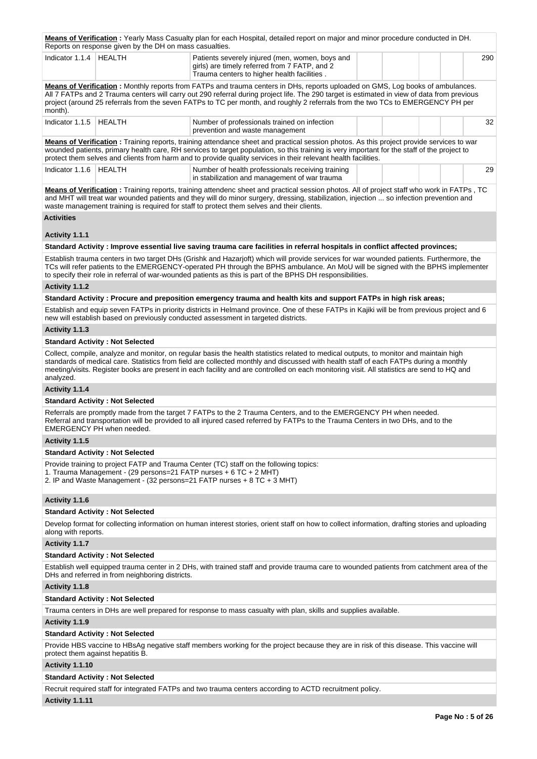|                     | Reports on response given by the DH on mass casualties.           | Means of Verification: Yearly Mass Casualty plan for each Hospital, detailed report on major and minor procedure conducted in DH.                                                                                                                                                                                                                                                                                             |     |
|---------------------|-------------------------------------------------------------------|-------------------------------------------------------------------------------------------------------------------------------------------------------------------------------------------------------------------------------------------------------------------------------------------------------------------------------------------------------------------------------------------------------------------------------|-----|
| Indicator 1.1.4     | <b>HEALTH</b>                                                     | Patients severely injured (men, women, boys and<br>girls) are timely referred from 7 FATP, and 2<br>Trauma centers to higher health facilities.                                                                                                                                                                                                                                                                               | 290 |
| month).             |                                                                   | Means of Verification: Monthly reports from FATPs and trauma centers in DHs, reports uploaded on GMS, Log books of ambulances.<br>All 7 FATPs and 2 Trauma centers will carry out 290 referral during project life. The 290 target is estimated in view of data from previous<br>project (around 25 referrals from the seven FATPs to TC per month, and roughly 2 referrals from the two TCs to EMERGENCY PH per              |     |
| Indicator 1.1.5     | <b>HEALTH</b>                                                     | Number of professionals trained on infection<br>prevention and waste management                                                                                                                                                                                                                                                                                                                                               | 32  |
|                     |                                                                   | Means of Verification: Training reports, training attendance sheet and practical session photos. As this project provide services to war<br>wounded patients, primary health care, RH services to target population, so this training is very important for the staff of the project to<br>protect them selves and clients from harm and to provide quality services in their relevant health facilities.                     |     |
| Indicator 1.1.6     | HEALTH                                                            | Number of health professionals receiving training<br>in stabilization and management of war trauma                                                                                                                                                                                                                                                                                                                            | 29  |
|                     |                                                                   | Means of Verification: Training reports, training attendenc sheet and practical session photos. All of project staff who work in FATPs, TC<br>and MHT will treat war wounded patients and they will do minor surgery, dressing, stabilization, injection  so infection prevention and<br>waste management training is required for staff to protect them selves and their clients.                                            |     |
| <b>Activities</b>   |                                                                   |                                                                                                                                                                                                                                                                                                                                                                                                                               |     |
| Activity 1.1.1      |                                                                   |                                                                                                                                                                                                                                                                                                                                                                                                                               |     |
|                     |                                                                   | Standard Activity: Improve essential live saving trauma care facilities in referral hospitals in conflict affected provinces;                                                                                                                                                                                                                                                                                                 |     |
|                     |                                                                   | Establish trauma centers in two target DHs (Grishk and Hazarjoft) which will provide services for war wounded patients. Furthermore, the<br>TCs will refer patients to the EMERGENCY-operated PH through the BPHS ambulance. An MoU will be signed with the BPHS implementer<br>to specify their role in referral of war-wounded patients as this is part of the BPHS DH responsibilities.                                    |     |
| Activity 1.1.2      |                                                                   |                                                                                                                                                                                                                                                                                                                                                                                                                               |     |
|                     |                                                                   | Standard Activity: Procure and preposition emergency trauma and health kits and support FATPs in high risk areas;                                                                                                                                                                                                                                                                                                             |     |
|                     |                                                                   | Establish and equip seven FATPs in priority districts in Helmand province. One of these FATPs in Kajiki will be from previous project and 6<br>new will establish based on previously conducted assessment in targeted districts.                                                                                                                                                                                             |     |
| Activity 1.1.3      |                                                                   |                                                                                                                                                                                                                                                                                                                                                                                                                               |     |
|                     | <b>Standard Activity: Not Selected</b>                            |                                                                                                                                                                                                                                                                                                                                                                                                                               |     |
| analyzed.           |                                                                   | Collect, compile, analyze and monitor, on regular basis the health statistics related to medical outputs, to monitor and maintain high<br>standards of medical care. Statistics from field are collected monthly and discussed with health staff of each FATPs during a monthly<br>meeting/visits. Register books are present in each facility and are controlled on each monitoring visit. All statistics are send to HQ and |     |
| Activity 1.1.4      |                                                                   |                                                                                                                                                                                                                                                                                                                                                                                                                               |     |
|                     | <b>Standard Activity: Not Selected</b>                            |                                                                                                                                                                                                                                                                                                                                                                                                                               |     |
|                     | EMERGENCY PH when needed.                                         | Referrals are promptly made from the target 7 FATPs to the 2 Trauma Centers, and to the EMERGENCY PH when needed.<br>Referral and transportation will be provided to all injured cased referred by FATPs to the Trauma Centers in two DHs, and to the                                                                                                                                                                         |     |
| Activity 1.1.5      |                                                                   |                                                                                                                                                                                                                                                                                                                                                                                                                               |     |
|                     | <b>Standard Activity: Not Selected</b>                            |                                                                                                                                                                                                                                                                                                                                                                                                                               |     |
|                     | 1. Trauma Management - (29 persons=21 FATP nurses + 6 TC + 2 MHT) | Provide training to project FATP and Trauma Center (TC) staff on the following topics:<br>2. IP and Waste Management - (32 persons=21 FATP nurses + 8 TC + 3 MHT)                                                                                                                                                                                                                                                             |     |
| Activity 1.1.6      |                                                                   |                                                                                                                                                                                                                                                                                                                                                                                                                               |     |
|                     | <b>Standard Activity: Not Selected</b>                            |                                                                                                                                                                                                                                                                                                                                                                                                                               |     |
| along with reports. |                                                                   | Develop format for collecting information on human interest stories, orient staff on how to collect information, drafting stories and uploading                                                                                                                                                                                                                                                                               |     |
| Activity 1.1.7      |                                                                   |                                                                                                                                                                                                                                                                                                                                                                                                                               |     |
|                     | <b>Standard Activity: Not Selected</b>                            |                                                                                                                                                                                                                                                                                                                                                                                                                               |     |
|                     | DHs and referred in from neighboring districts.                   | Establish well equipped trauma center in 2 DHs, with trained staff and provide trauma care to wounded patients from catchment area of the                                                                                                                                                                                                                                                                                     |     |
| Activity 1.1.8      |                                                                   |                                                                                                                                                                                                                                                                                                                                                                                                                               |     |
|                     | <b>Standard Activity: Not Selected</b>                            |                                                                                                                                                                                                                                                                                                                                                                                                                               |     |
|                     |                                                                   | Trauma centers in DHs are well prepared for response to mass casualty with plan, skills and supplies available.                                                                                                                                                                                                                                                                                                               |     |
| Activity 1.1.9      |                                                                   |                                                                                                                                                                                                                                                                                                                                                                                                                               |     |
|                     | <b>Standard Activity: Not Selected</b>                            |                                                                                                                                                                                                                                                                                                                                                                                                                               |     |
|                     | protect them against hepatitis B.                                 | Provide HBS vaccine to HBsAg negative staff members working for the project because they are in risk of this disease. This vaccine will                                                                                                                                                                                                                                                                                       |     |
| Activity 1.1.10     |                                                                   |                                                                                                                                                                                                                                                                                                                                                                                                                               |     |

# **Standard Activity : Not Selected**

Recruit required staff for integrated FATPs and two trauma centers according to ACTD recruitment policy.

# **Activity 1.1.11**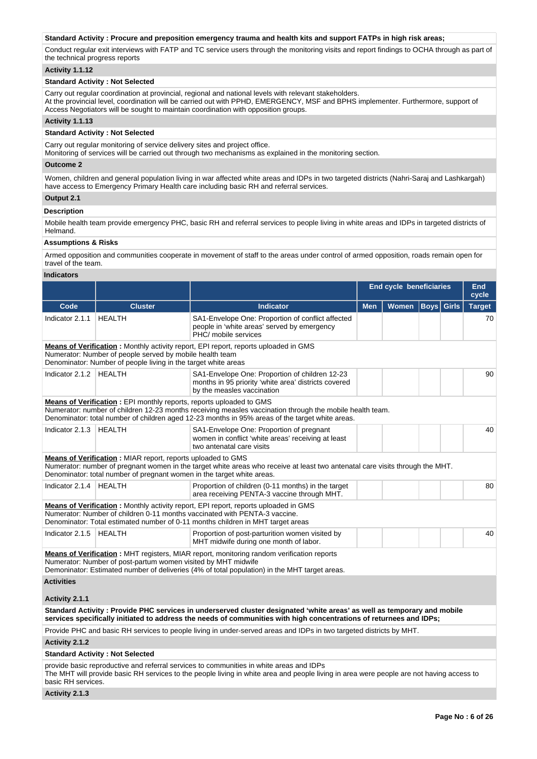### **Standard Activity : Procure and preposition emergency trauma and health kits and support FATPs in high risk areas;**

Conduct regular exit interviews with FATP and TC service users through the monitoring visits and report findings to OCHA through as part of the technical progress reports

### **Activity 1.1.12**

# **Standard Activity : Not Selected**

Carry out regular coordination at provincial, regional and national levels with relevant stakeholders. At the provincial level, coordination will be carried out with PPHD, EMERGENCY, MSF and BPHS implementer. Furthermore, support of Access Negotiators will be sought to maintain coordination with opposition groups.

# **Activity 1.1.13**

# **Standard Activity : Not Selected**

Carry out regular monitoring of service delivery sites and project office.

bany barregalar momentig of service denvery sites and project since.<br>Monitoring of services will be carried out through two mechanisms as explained in the monitoring section.

### **Outcome 2**

Women, children and general population living in war affected white areas and IDPs in two targeted districts (Nahri-Saraj and Lashkargah) have access to Emergency Primary Health care including basic RH and referral services.

#### **Output 2.1**

### **Description**

Mobile health team provide emergency PHC, basic RH and referral services to people living in white areas and IDPs in targeted districts of Helmand.

### **Assumptions & Risks**

Armed opposition and communities cooperate in movement of staff to the areas under control of armed opposition, roads remain open for travel of the team.

# **Indicators**

|                                                                                                                                                         |                                                                                                                                       |                                                                                                                                                                                                                                                      | <b>End cycle beneficiaries</b> | <b>End</b><br>cycle |                   |    |               |  |  |  |  |  |
|---------------------------------------------------------------------------------------------------------------------------------------------------------|---------------------------------------------------------------------------------------------------------------------------------------|------------------------------------------------------------------------------------------------------------------------------------------------------------------------------------------------------------------------------------------------------|--------------------------------|---------------------|-------------------|----|---------------|--|--|--|--|--|
| Code                                                                                                                                                    | <b>Cluster</b>                                                                                                                        | <b>Indicator</b>                                                                                                                                                                                                                                     | <b>Men</b>                     | <b>Women</b>        | <b>Boys Girls</b> |    | <b>Target</b> |  |  |  |  |  |
| Indicator 2.1.1                                                                                                                                         | <b>HEALTH</b>                                                                                                                         | SA1-Envelope One: Proportion of conflict affected<br>people in 'white areas' served by emergency<br>PHC/ mobile services                                                                                                                             |                                |                     |                   | 70 |               |  |  |  |  |  |
|                                                                                                                                                         |                                                                                                                                       | Means of Verification: Monthly activity report, EPI report, reports uploaded in GMS                                                                                                                                                                  |                                |                     |                   |    |               |  |  |  |  |  |
| Numerator: Number of people served by mobile health team<br>Denominator: Number of people living in the target white areas<br>Indicator 2.1.2   HEALTH  |                                                                                                                                       |                                                                                                                                                                                                                                                      |                                |                     |                   |    |               |  |  |  |  |  |
|                                                                                                                                                         |                                                                                                                                       | SA1-Envelope One: Proportion of children 12-23<br>months in 95 priority 'white area' districts covered<br>by the measles vaccination                                                                                                                 |                                |                     |                   |    | 90            |  |  |  |  |  |
|                                                                                                                                                         | <b>Means of Verification:</b> EPI monthly reports, reports uploaded to GMS                                                            | Numerator: number of children 12-23 months receiving measles vaccination through the mobile health team.<br>Denominator: total number of children aged 12-23 months in 95% areas of the target white areas.                                          |                                |                     |                   |    |               |  |  |  |  |  |
| Indicator 2.1.3   HEALTH<br>SA1-Envelope One: Proportion of pregnant<br>women in conflict 'white areas' receiving at least<br>two antenatal care visits |                                                                                                                                       |                                                                                                                                                                                                                                                      |                                |                     |                   |    |               |  |  |  |  |  |
|                                                                                                                                                         | Means of Verification: MIAR report, reports uploaded to GMS<br>Denominator: total number of pregnant women in the target white areas. | Numerator: number of pregnant women in the target white areas who receive at least two antenatal care visits through the MHT.                                                                                                                        |                                |                     |                   |    |               |  |  |  |  |  |
| Indicator 2.1.4   HEALTH                                                                                                                                |                                                                                                                                       | Proportion of children (0-11 months) in the target<br>area receiving PENTA-3 vaccine through MHT.                                                                                                                                                    |                                |                     |                   |    | 80            |  |  |  |  |  |
|                                                                                                                                                         |                                                                                                                                       | Means of Verification: Monthly activity report, EPI report, reports uploaded in GMS<br>Numerator: Number of children 0-11 months vaccinated with PENTA-3 vaccine.<br>Denominator: Total estimated number of 0-11 months children in MHT target areas |                                |                     |                   |    |               |  |  |  |  |  |
| Indicator 2.1.5                                                                                                                                         | <b>HEALTH</b>                                                                                                                         | Proportion of post-parturition women visited by<br>MHT midwife during one month of labor.                                                                                                                                                            |                                |                     |                   |    | 40            |  |  |  |  |  |
|                                                                                                                                                         | Numerator: Number of post-partum women visited by MHT midwife                                                                         | <b>Means of Verification:</b> MHT registers, MIAR report, monitoring random verification reports<br>Demoninator: Estimated number of deliveries (4% of total population) in the MHT target areas.                                                    |                                |                     |                   |    |               |  |  |  |  |  |
| <b>Activities</b>                                                                                                                                       |                                                                                                                                       |                                                                                                                                                                                                                                                      |                                |                     |                   |    |               |  |  |  |  |  |
| Activity 2.1.1                                                                                                                                          |                                                                                                                                       |                                                                                                                                                                                                                                                      |                                |                     |                   |    |               |  |  |  |  |  |
|                                                                                                                                                         |                                                                                                                                       | Standard Activity: Provide PHC services in underserved cluster designated 'white areas' as well as temporary and mobile<br>services specifically initiated to address the needs of communities with high concentrations of returnees and IDPs;       |                                |                     |                   |    |               |  |  |  |  |  |
|                                                                                                                                                         |                                                                                                                                       | Provide PHC and basic RH services to people living in under-served areas and IDPs in two targeted districts by MHT.                                                                                                                                  |                                |                     |                   |    |               |  |  |  |  |  |
| Activity 2.1.2                                                                                                                                          |                                                                                                                                       |                                                                                                                                                                                                                                                      |                                |                     |                   |    |               |  |  |  |  |  |
|                                                                                                                                                         | <b>Standard Activity: Not Selected</b>                                                                                                |                                                                                                                                                                                                                                                      |                                |                     |                   |    |               |  |  |  |  |  |
| basic RH services.                                                                                                                                      |                                                                                                                                       | provide basic reproductive and referral services to communities in white areas and IDPs<br>The MHT will provide basic RH services to the people living in white area and people living in area were people are not having access to                  |                                |                     |                   |    |               |  |  |  |  |  |

#### **Activity 2.1.3**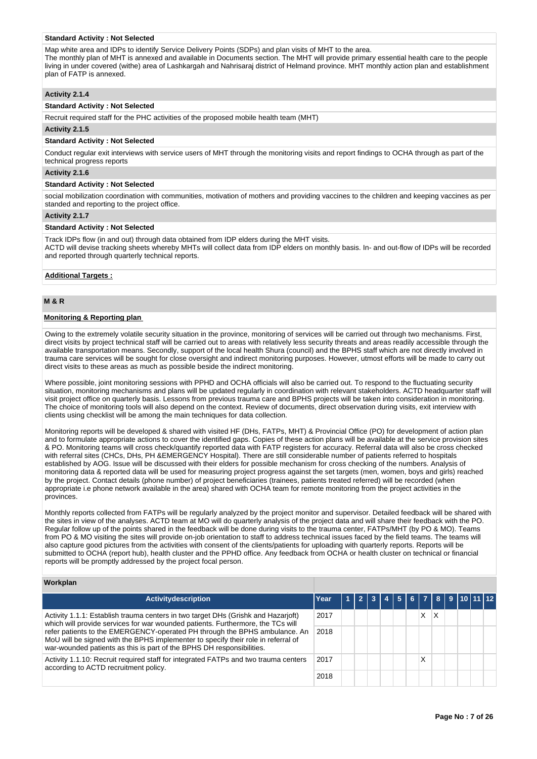#### **Standard Activity : Not Selected**

Map white area and IDPs to identify Service Delivery Points (SDPs) and plan visits of MHT to the area. The monthly plan of MHT is annexed and available in Documents section. The MHT will provide primary essential health care to the people living in under covered (withe) area of Lashkargah and Nahrisaraj district of Helmand province. MHT monthly action plan and establishment plan of FATP is annexed.

### **Activity 2.1.4**

#### **Standard Activity : Not Selected**

Recruit required staff for the PHC activities of the proposed mobile health team (MHT)

#### **Activity 2.1.5**

#### **Standard Activity : Not Selected**

Conduct regular exit interviews with service users of MHT through the monitoring visits and report findings to OCHA through as part of the technical progress reports

### **Activity 2.1.6**

#### **Standard Activity : Not Selected**

social mobilization coordination with communities, motivation of mothers and providing vaccines to the children and keeping vaccines as per standed and reporting to the project office.

#### **Activity 2.1.7**

#### **Standard Activity : Not Selected**

Track IDPs flow (in and out) through data obtained from IDP elders during the MHT visits.

ACTD will devise tracking sheets whereby MHTs will collect data from IDP elders on monthly basis. In- and out-flow of IDPs will be recorded and reported through quarterly technical reports.

#### **Additional Targets :**

# **M & R**

#### **Monitoring & Reporting plan**

Owing to the extremely volatile security situation in the province, monitoring of services will be carried out through two mechanisms. First, direct visits by project technical staff will be carried out to areas with relatively less security threats and areas readily accessible through the available transportation means. Secondly, support of the local health Shura (council) and the BPHS staff which are not directly involved in trauma care services will be sought for close oversight and indirect monitoring purposes. However, utmost efforts will be made to carry out direct visits to these areas as much as possible beside the indirect monitoring.

Where possible, joint monitoring sessions with PPHD and OCHA officials will also be carried out. To respond to the fluctuating security situation, monitoring mechanisms and plans will be updated regularly in coordination with relevant stakeholders. ACTD headquarter staff will visit project office on quarterly basis. Lessons from previous trauma care and BPHS projects will be taken into consideration in monitoring. The choice of monitoring tools will also depend on the context. Review of documents, direct observation during visits, exit interview with clients using checklist will be among the main techniques for data collection.

Monitoring reports will be developed & shared with visited HF (DHs, FATPs, MHT) & Provincial Office (PO) for development of action plan and to formulate appropriate actions to cover the identified gaps. Copies of these action plans will be available at the service provision sites & PO. Monitoring teams will cross check/quantify reported data with FATP registers for accuracy. Referral data will also be cross checked with referral sites (CHCs, DHs, PH &EMERGENCY Hospital). There are still considerable number of patients referred to hospitals established by AOG. Issue will be discussed with their elders for possible mechanism for cross checking of the numbers. Analysis of monitoring data & reported data will be used for measuring project progress against the set targets (men, women, boys and girls) reached by the project. Contact details (phone number) of project beneficiaries (trainees, patients treated referred) will be recorded (when appropriate i.e phone network available in the area) shared with OCHA team for remote monitoring from the project activities in the provinces.

Monthly reports collected from FATPs will be regularly analyzed by the project monitor and supervisor. Detailed feedback will be shared with the sites in view of the analyses. ACTD team at MO will do quarterly analysis of the project data and will share their feedback with the PO. Regular follow up of the points shared in the feedback will be done during visits to the trauma center, FATPs/MHT (by PO & MO). Teams from PO & MO visiting the sites will provide on-job orientation to staff to address technical issues faced by the field teams. The teams will also capture good pictures from the activities with consent of the clients/patients for uploading with quarterly reports. Reports will be submitted to OCHA (report hub), health cluster and the PPHD office. Any feedback from OCHA or health cluster on technical or financial reports will be promptly addressed by the project focal person.

### **Workplan**

| <b>Activitydescription</b>                                                                                                                                                                                                               | Year |  |  |  |        |   |  |  | 5678910112 |  |
|------------------------------------------------------------------------------------------------------------------------------------------------------------------------------------------------------------------------------------------|------|--|--|--|--------|---|--|--|------------|--|
| Activity 1.1.1: Establish trauma centers in two target DHs (Grishk and Hazarjoft)<br>which will provide services for war wounded patients. Furthermore, the TCs will                                                                     | 2017 |  |  |  | x      | X |  |  |            |  |
| refer patients to the EMERGENCY-operated PH through the BPHS ambulance. An<br>MoU will be signed with the BPHS implementer to specify their role in referral of<br>war-wounded patients as this is part of the BPHS DH responsibilities. | 2018 |  |  |  |        |   |  |  |            |  |
| Activity 1.1.10: Recruit required staff for integrated FATPs and two trauma centers<br>according to ACTD recruitment policy.                                                                                                             | 2017 |  |  |  | v<br>⋏ |   |  |  |            |  |
|                                                                                                                                                                                                                                          | 2018 |  |  |  |        |   |  |  |            |  |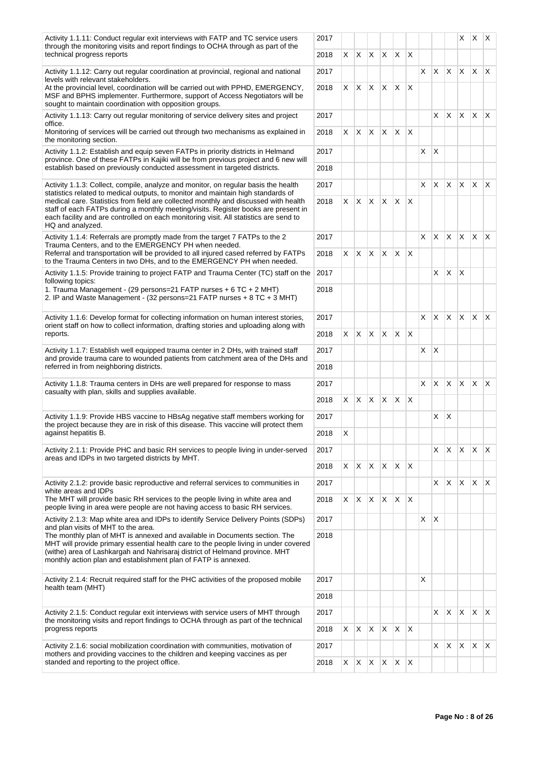| Activity 1.1.11: Conduct regular exit interviews with FATP and TC service users<br>through the monitoring visits and report findings to OCHA through as part of the                                                                                                                                                                                                        | 2017                                                                                                                                                                                                                                                                                                                                                                                                                                                                                                                                                                                                                                                                                                                                                                                       |    |    |                                                                                                                                                                                                                                                                                                            |    |          |    |    |    |                                                                                                                                               | X.       | $\mathsf{X}$ | $\mathsf{X}$ |
|----------------------------------------------------------------------------------------------------------------------------------------------------------------------------------------------------------------------------------------------------------------------------------------------------------------------------------------------------------------------------|--------------------------------------------------------------------------------------------------------------------------------------------------------------------------------------------------------------------------------------------------------------------------------------------------------------------------------------------------------------------------------------------------------------------------------------------------------------------------------------------------------------------------------------------------------------------------------------------------------------------------------------------------------------------------------------------------------------------------------------------------------------------------------------------|----|----|------------------------------------------------------------------------------------------------------------------------------------------------------------------------------------------------------------------------------------------------------------------------------------------------------------|----|----------|----|----|----|-----------------------------------------------------------------------------------------------------------------------------------------------|----------|--------------|--------------|
| technical progress reports                                                                                                                                                                                                                                                                                                                                                 | 2018                                                                                                                                                                                                                                                                                                                                                                                                                                                                                                                                                                                                                                                                                                                                                                                       | X. | X. |                                                                                                                                                                                                                                                                                                            | X. | $\times$ | X  |    |    |                                                                                                                                               |          |              |              |
| Activity 1.1.12: Carry out regular coordination at provincial, regional and national<br>levels with relevant stakeholders.                                                                                                                                                                                                                                                 | 2017                                                                                                                                                                                                                                                                                                                                                                                                                                                                                                                                                                                                                                                                                                                                                                                       |    |    |                                                                                                                                                                                                                                                                                                            |    |          |    | X  |    |                                                                                                                                               |          |              |              |
| At the provincial level, coordination will be carried out with PPHD, EMERGENCY,<br>MSF and BPHS implementer. Furthermore, support of Access Negotiators will be<br>sought to maintain coordination with opposition groups.                                                                                                                                                 | 2018                                                                                                                                                                                                                                                                                                                                                                                                                                                                                                                                                                                                                                                                                                                                                                                       | X. | X. |                                                                                                                                                                                                                                                                                                            | X  | $\times$ | X  |    |    |                                                                                                                                               |          |              |              |
| Activity 1.1.13: Carry out regular monitoring of service delivery sites and project<br>office.                                                                                                                                                                                                                                                                             | 2017                                                                                                                                                                                                                                                                                                                                                                                                                                                                                                                                                                                                                                                                                                                                                                                       |    |    |                                                                                                                                                                                                                                                                                                            |    |          |    |    |    | ΙX.                                                                                                                                           |          |              |              |
| Monitoring of services will be carried out through two mechanisms as explained in<br>the monitoring section.                                                                                                                                                                                                                                                               | 2018                                                                                                                                                                                                                                                                                                                                                                                                                                                                                                                                                                                                                                                                                                                                                                                       | X. |    |                                                                                                                                                                                                                                                                                                            |    | $\times$ | ΙX |    |    |                                                                                                                                               |          |              |              |
| Activity 1.1.2: Establish and equip seven FATPs in priority districts in Helmand<br>province. One of these FATPs in Kajiki will be from previous project and 6 new will<br>establish based on previously conducted assessment in targeted districts.                                                                                                                       | 2017<br>2018                                                                                                                                                                                                                                                                                                                                                                                                                                                                                                                                                                                                                                                                                                                                                                               |    |    |                                                                                                                                                                                                                                                                                                            |    |          |    | X  | X  |                                                                                                                                               |          |              |              |
| Activity 1.1.3: Collect, compile, analyze and monitor, on regular basis the health                                                                                                                                                                                                                                                                                         | 2017                                                                                                                                                                                                                                                                                                                                                                                                                                                                                                                                                                                                                                                                                                                                                                                       |    |    |                                                                                                                                                                                                                                                                                                            |    |          |    | X  | X. | <b>X</b>                                                                                                                                      | <b>X</b> | ΙX.          |              |
| statistics related to medical outputs, to monitor and maintain high standards of<br>medical care. Statistics from field are collected monthly and discussed with health<br>staff of each FATPs during a monthly meeting/visits. Register books are present in<br>each facility and are controlled on each monitoring visit. All statistics are send to<br>HQ and analyzed. | $\mathsf{X}$<br>$\mathsf{X}$<br>$X$ $X$<br>$\mathsf{X}$<br> X X<br>2018<br>X.<br>X.<br>$\times$<br>ΙX<br>2017<br>$\mathsf{X}$<br> X <br>$\mathsf{X}$<br>$\times$<br>2018<br>X.<br>ΙX<br>2017<br>2018<br>2017<br>X<br> X <br>$\mathsf{X}$<br>X<br>X<br>X<br>2018<br>2017<br>2018<br>2017<br>X<br>IX.<br>X<br>$\times$<br>2018<br>X.<br>ΙX<br>2017<br>X<br>2018<br>2017<br>X X X<br>$\mathsf{X}$<br>$\mathsf{X}$<br>X<br>2018<br>2017<br>$\mathsf{X}$<br>$\mathsf{X}$<br>$\mathsf{X}$<br>X.<br>$\mathsf{X}$<br>2018<br>X.<br>2017<br>2018<br>2017<br>2018<br>2017<br>the monitoring visits and report findings to OCHA through as part of the technical<br>$X$ $X$<br>$\mathsf{X}$<br>X.<br>$\mathsf{X}$<br>2018<br>X.<br>2017<br>$X \times X$<br>$\mathsf{X}$<br>2018<br>X.<br>$\mathsf{X}$ |    |    |                                                                                                                                                                                                                                                                                                            |    |          |    |    |    |                                                                                                                                               |          |              |              |
| Activity 1.1.4: Referrals are promptly made from the target 7 FATPs to the 2<br>Trauma Centers, and to the EMERGENCY PH when needed.                                                                                                                                                                                                                                       |                                                                                                                                                                                                                                                                                                                                                                                                                                                                                                                                                                                                                                                                                                                                                                                            |    |    |                                                                                                                                                                                                                                                                                                            |    |          |    | X. |    |                                                                                                                                               |          |              |              |
| Referral and transportation will be provided to all injured cased referred by FATPs<br>to the Trauma Centers in two DHs, and to the EMERGENCY PH when needed.                                                                                                                                                                                                              |                                                                                                                                                                                                                                                                                                                                                                                                                                                                                                                                                                                                                                                                                                                                                                                            |    |    |                                                                                                                                                                                                                                                                                                            |    |          |    |    |    |                                                                                                                                               |          |              |              |
| Activity 1.1.5: Provide training to project FATP and Trauma Center (TC) staff on the<br>following topics:                                                                                                                                                                                                                                                                  |                                                                                                                                                                                                                                                                                                                                                                                                                                                                                                                                                                                                                                                                                                                                                                                            |    |    |                                                                                                                                                                                                                                                                                                            |    |          |    |    | X. | $\mathsf{X}$                                                                                                                                  | X        |              |              |
| 1. Trauma Management - (29 persons=21 FATP nurses + 6 TC + 2 MHT)<br>2. IP and Waste Management - (32 persons=21 FATP nurses + 8 TC + 3 MHT)                                                                                                                                                                                                                               |                                                                                                                                                                                                                                                                                                                                                                                                                                                                                                                                                                                                                                                                                                                                                                                            |    |    |                                                                                                                                                                                                                                                                                                            |    |          |    |    |    |                                                                                                                                               |          |              |              |
| Activity 1.1.6: Develop format for collecting information on human interest stories,                                                                                                                                                                                                                                                                                       |                                                                                                                                                                                                                                                                                                                                                                                                                                                                                                                                                                                                                                                                                                                                                                                            |    |    | $\mathsf{X}$<br>$X$ $X$<br>$\times$<br>$\times$<br>$x \times$<br>$\times$<br><b>X</b><br><b>X</b><br>ΙX.<br>X<br>$\mathsf{\chi}$<br>X.<br>$x \mid x \mid x$<br>ΙX<br>X.<br>X<br>X<br>IX.<br>X.<br>$\mathsf{X}$<br>X<br>X<br>X.<br>$\mathsf{X}$<br>X.<br>X<br>X<br>X<br>$\mathsf{X}$<br>X.<br>X<br>X.<br>X. |    |          |    |    |    |                                                                                                                                               |          |              |              |
| reports.                                                                                                                                                                                                                                                                                                                                                                   | orient staff on how to collect information, drafting stories and uploading along with                                                                                                                                                                                                                                                                                                                                                                                                                                                                                                                                                                                                                                                                                                      |    |    |                                                                                                                                                                                                                                                                                                            |    |          |    |    |    |                                                                                                                                               |          |              |              |
| Activity 1.1.7: Establish well equipped trauma center in 2 DHs, with trained staff<br>and provide trauma care to wounded patients from catchment area of the DHs and                                                                                                                                                                                                       |                                                                                                                                                                                                                                                                                                                                                                                                                                                                                                                                                                                                                                                                                                                                                                                            |    |    |                                                                                                                                                                                                                                                                                                            |    |          |    |    |    |                                                                                                                                               |          |              |              |
| referred in from neighboring districts.                                                                                                                                                                                                                                                                                                                                    |                                                                                                                                                                                                                                                                                                                                                                                                                                                                                                                                                                                                                                                                                                                                                                                            |    |    |                                                                                                                                                                                                                                                                                                            |    |          |    |    |    |                                                                                                                                               |          |              |              |
| Activity 1.1.8: Trauma centers in DHs are well prepared for response to mass<br>casualty with plan, skills and supplies available.                                                                                                                                                                                                                                         |                                                                                                                                                                                                                                                                                                                                                                                                                                                                                                                                                                                                                                                                                                                                                                                            |    |    |                                                                                                                                                                                                                                                                                                            |    |          |    |    |    |                                                                                                                                               |          |              |              |
|                                                                                                                                                                                                                                                                                                                                                                            |                                                                                                                                                                                                                                                                                                                                                                                                                                                                                                                                                                                                                                                                                                                                                                                            |    |    |                                                                                                                                                                                                                                                                                                            |    |          |    |    |    |                                                                                                                                               |          |              |              |
| Activity 1.1.9: Provide HBS vaccine to HBsAg negative staff members working for<br>the project because they are in risk of this disease. This vaccine will protect them                                                                                                                                                                                                    |                                                                                                                                                                                                                                                                                                                                                                                                                                                                                                                                                                                                                                                                                                                                                                                            |    |    |                                                                                                                                                                                                                                                                                                            |    |          |    |    |    |                                                                                                                                               |          |              |              |
| against hepatitis B.                                                                                                                                                                                                                                                                                                                                                       |                                                                                                                                                                                                                                                                                                                                                                                                                                                                                                                                                                                                                                                                                                                                                                                            |    |    |                                                                                                                                                                                                                                                                                                            |    |          |    |    |    |                                                                                                                                               |          |              |              |
| Activity 2.1.1: Provide PHC and basic RH services to people living in under-served<br>areas and IDPs in two targeted districts by MHT.                                                                                                                                                                                                                                     |                                                                                                                                                                                                                                                                                                                                                                                                                                                                                                                                                                                                                                                                                                                                                                                            |    |    |                                                                                                                                                                                                                                                                                                            |    |          |    |    |    | $\mathsf{X}$<br>$X \times X$<br>$\mathsf{X}$<br>$x \times x$<br>$\mathsf{X}$<br>$ X $ $ X $<br>ΙX.<br>$\mathsf{X}$<br>$\mathsf{X}$<br>$X$ $X$ |          |              |              |
|                                                                                                                                                                                                                                                                                                                                                                            |                                                                                                                                                                                                                                                                                                                                                                                                                                                                                                                                                                                                                                                                                                                                                                                            |    |    |                                                                                                                                                                                                                                                                                                            |    |          |    |    |    |                                                                                                                                               |          |              |              |
| Activity 2.1.2; provide basic reproductive and referral services to communities in<br>white areas and IDPs                                                                                                                                                                                                                                                                 |                                                                                                                                                                                                                                                                                                                                                                                                                                                                                                                                                                                                                                                                                                                                                                                            |    |    |                                                                                                                                                                                                                                                                                                            |    |          |    |    |    |                                                                                                                                               |          |              |              |
| The MHT will provide basic RH services to the people living in white area and<br>people living in area were people are not having access to basic RH services.                                                                                                                                                                                                             |                                                                                                                                                                                                                                                                                                                                                                                                                                                                                                                                                                                                                                                                                                                                                                                            |    |    |                                                                                                                                                                                                                                                                                                            |    |          |    |    |    |                                                                                                                                               |          |              |              |
| Activity 2.1.3: Map white area and IDPs to identify Service Delivery Points (SDPs)<br>and plan visits of MHT to the area.                                                                                                                                                                                                                                                  |                                                                                                                                                                                                                                                                                                                                                                                                                                                                                                                                                                                                                                                                                                                                                                                            |    |    |                                                                                                                                                                                                                                                                                                            |    |          |    |    |    |                                                                                                                                               |          |              |              |
| The monthly plan of MHT is annexed and available in Documents section. The<br>MHT will provide primary essential health care to the people living in under covered<br>(withe) area of Lashkargah and Nahrisaraj district of Helmand province. MHT<br>monthly action plan and establishment plan of FATP is annexed.                                                        |                                                                                                                                                                                                                                                                                                                                                                                                                                                                                                                                                                                                                                                                                                                                                                                            |    |    |                                                                                                                                                                                                                                                                                                            |    |          |    |    |    |                                                                                                                                               |          |              |              |
| Activity 2.1.4: Recruit required staff for the PHC activities of the proposed mobile<br>health team (MHT)                                                                                                                                                                                                                                                                  |                                                                                                                                                                                                                                                                                                                                                                                                                                                                                                                                                                                                                                                                                                                                                                                            |    |    |                                                                                                                                                                                                                                                                                                            |    |          |    |    |    |                                                                                                                                               |          |              |              |
|                                                                                                                                                                                                                                                                                                                                                                            |                                                                                                                                                                                                                                                                                                                                                                                                                                                                                                                                                                                                                                                                                                                                                                                            |    |    |                                                                                                                                                                                                                                                                                                            |    |          |    |    |    |                                                                                                                                               |          |              |              |
| Activity 2.1.5: Conduct regular exit interviews with service users of MHT through                                                                                                                                                                                                                                                                                          |                                                                                                                                                                                                                                                                                                                                                                                                                                                                                                                                                                                                                                                                                                                                                                                            |    |    |                                                                                                                                                                                                                                                                                                            |    |          |    |    |    |                                                                                                                                               |          |              |              |
| progress reports                                                                                                                                                                                                                                                                                                                                                           |                                                                                                                                                                                                                                                                                                                                                                                                                                                                                                                                                                                                                                                                                                                                                                                            |    |    |                                                                                                                                                                                                                                                                                                            |    |          |    |    |    |                                                                                                                                               |          |              |              |
| Activity 2.1.6: social mobilization coordination with communities, motivation of<br>mothers and providing vaccines to the children and keeping vaccines as per                                                                                                                                                                                                             |                                                                                                                                                                                                                                                                                                                                                                                                                                                                                                                                                                                                                                                                                                                                                                                            |    |    |                                                                                                                                                                                                                                                                                                            |    |          |    |    |    |                                                                                                                                               |          |              |              |
| standed and reporting to the project office.                                                                                                                                                                                                                                                                                                                               |                                                                                                                                                                                                                                                                                                                                                                                                                                                                                                                                                                                                                                                                                                                                                                                            |    |    |                                                                                                                                                                                                                                                                                                            |    |          |    |    |    |                                                                                                                                               |          |              |              |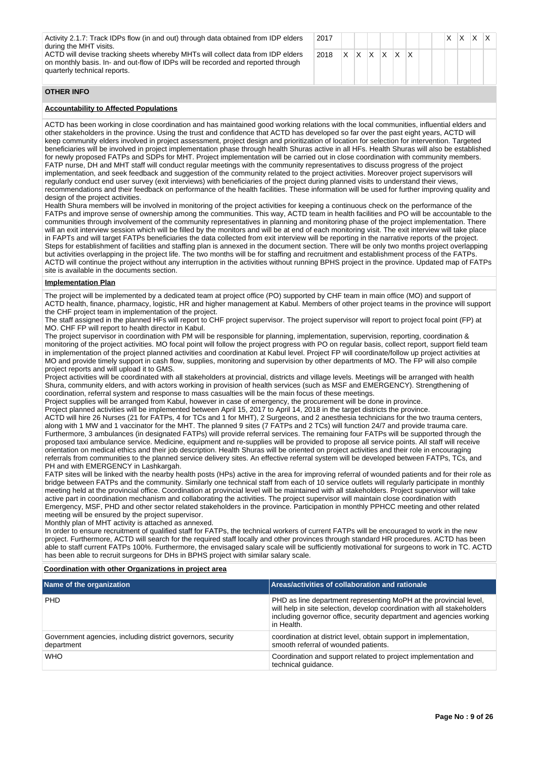Activity 2.1.7: Track IDPs flow (in and out) through data obtained from IDP elders during the MHT visits.

ACTD will devise tracking sheets whereby MHTs will collect data from IDP elders on monthly basis. In- and out-flow of IDPs will be recorded and reported through quarterly technical reports.

| 2017                                                       |  |  |  |  |  | $X$ $X$ $X$ $X$ |  |
|------------------------------------------------------------|--|--|--|--|--|-----------------|--|
| 2018 $\mid$ X $\mid$ X $\mid$ X $\mid$ X $\mid$ X $\mid$ X |  |  |  |  |  |                 |  |
|                                                            |  |  |  |  |  |                 |  |

# **OTHER INFO**

# **Accountability to Affected Populations**

ACTD has been working in close coordination and has maintained good working relations with the local communities, influential elders and other stakeholders in the province. Using the trust and confidence that ACTD has developed so far over the past eight years, ACTD will keep community elders involved in project assessment, project design and prioritization of location for selection for intervention. Targeted beneficiaries will be involved in project implementation phase through health Shuras active in all HFs. Health Shuras will also be established for newly proposed FATPs and SDPs for MHT. Project implementation will be carried out in close coordination with community members. FATP nurse, DH and MHT staff will conduct regular meetings with the community representatives to discuss progress of the project implementation, and seek feedback and suggestion of the community related to the project activities. Moreover project supervisors will regularly conduct end user survey (exit interviews) with beneficiaries of the project during planned visits to understand their views, recommendations and their feedback on performance of the health facilities. These information will be used for further improving quality and design of the project activities.

Health Shura members will be involved in monitoring of the project activities for keeping a continuous check on the performance of the FATPs and improve sense of ownership among the communities. This way, ACTD team in health facilities and PO will be accountable to the communities through involvement of the community representatives in planning and monitoring phase of the project implementation. There will an exit interview session which will be filled by the monitors and will be at end of each monitoring visit. The exit interview will take place in FAPTs and will target FATPs beneficiaries the data collected from exit interview will be reporting in the narrative reports of the project. Steps for establishment of facilities and staffing plan is annexed in the document section. There will be only two months project overlapping but activities overlapping in the project life. The two months will be for staffing and recruitment and establishment process of the FATPs. ACTD will continue the project without any interruption in the activities without running BPHS project in the province. Updated map of FATPs site is available in the documents section.

#### **Implementation Plan**

The project will be implemented by a dedicated team at project office (PO) supported by CHF team in main office (MO) and support of ACTD health, finance, pharmacy, logistic, HR and higher management at Kabul. Members of other project teams in the province will support the CHF project team in implementation of the project.

The staff assigned in the planned HFs will report to CHF project supervisor. The project supervisor will report to project focal point (FP) at MO. CHF FP will report to health director in Kabul.

The project supervisor in coordination with PM will be responsible for planning, implementation, supervision, reporting, coordination & monitoring of the project activities. MO focal point will follow the project progress with PO on regular basis, collect report, support field team in implementation of the project planned activities and coordination at Kabul level. Project FP will coordinate/follow up project activities at MO and provide timely support in cash flow, supplies, monitoring and supervision by other departments of MO. The FP will also compile project reports and will upload it to GMS.

Project activities will be coordinated with all stakeholders at provincial, districts and village levels. Meetings will be arranged with health Shura, community elders, and with actors working in provision of health services (such as MSF and EMERGENCY). Strengthening of coordination, referral system and response to mass casualties will be the main focus of these meetings.

Project supplies will be arranged from Kabul, however in case of emergency, the procurement will be done in province.

Project planned activities will be implemented between April 15, 2017 to April 14, 2018 in the target districts the province. ACTD will hire 26 Nurses (21 for FATPs, 4 for TCs and 1 for MHT), 2 Surgeons, and 2 anesthesia technicians for the two trauma centers, along with 1 MW and 1 vaccinator for the MHT. The planned 9 sites (7 FATPs and 2 TCs) will function 24/7 and provide trauma care. Furthermore, 3 ambulances (in designated FATPs) will provide referral services. The remaining four FATPs will be supported through the proposed taxi ambulance service. Medicine, equipment and re-supplies will be provided to propose all service points. All staff will receive orientation on medical ethics and their job description. Health Shuras will be oriented on project activities and their role in encouraging referrals from communities to the planned service delivery sites. An effective referral system will be developed between FATPs, TCs, and PH and with EMERGENCY in Lashkargah.

FATP sites will be linked with the nearby health posts (HPs) active in the area for improving referral of wounded patients and for their role as bridge between FATPs and the community. Similarly one technical staff from each of 10 service outlets will regularly participate in monthly meeting held at the provincial office. Coordination at provincial level will be maintained with all stakeholders. Project supervisor will take active part in coordination mechanism and collaborating the activities. The project supervisor will maintain close coordination with Emergency, MSF, PHD and other sector related stakeholders in the province. Participation in monthly PPHCC meeting and other related meeting will be ensured by the project supervisor.

Monthly plan of MHT activity is attached as annexed.

In order to ensure recruitment of qualified staff for FATPs, the technical workers of current FATPs will be encouraged to work in the new project. Furthermore, ACTD will search for the required staff locally and other provinces through standard HR procedures. ACTD has been able to staff current FATPs 100%. Furthermore, the envisaged salary scale will be sufficiently motivational for surgeons to work in TC. ACTD has been able to recruit surgeons for DHs in BPHS project with similar salary scale.

#### **Coordination with other Organizations in project area**

| Name of the organization                                                  | Areas/activities of collaboration and rationale                                                                                                                                                                                   |
|---------------------------------------------------------------------------|-----------------------------------------------------------------------------------------------------------------------------------------------------------------------------------------------------------------------------------|
| <b>PHD</b>                                                                | PHD as line department representing MoPH at the provincial level,<br>will help in site selection, develop coordination with all stakeholders<br>including governor office, security department and agencies working<br>in Health. |
| Government agencies, including district governors, security<br>department | coordination at district level, obtain support in implementation,<br>smooth referral of wounded patients.                                                                                                                         |
| <b>WHO</b>                                                                | Coordination and support related to project implementation and<br>technical quidance.                                                                                                                                             |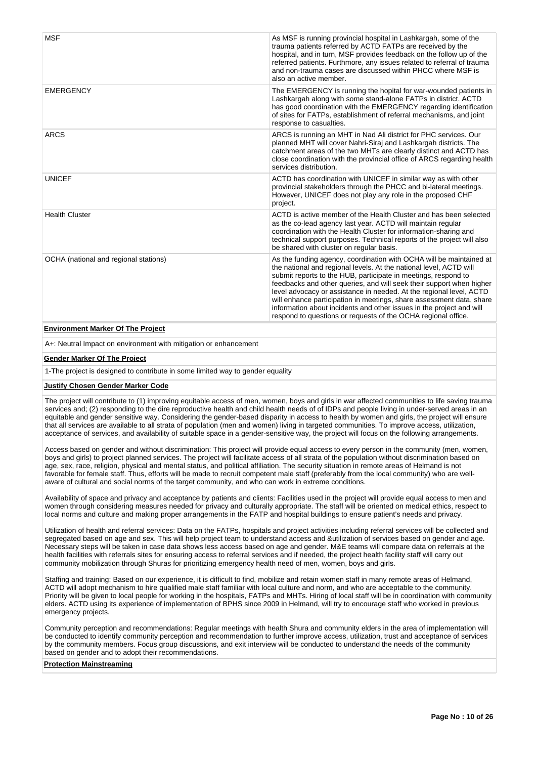| <b>MSF</b>                               | As MSF is running provincial hospital in Lashkargah, some of the<br>trauma patients referred by ACTD FATPs are received by the<br>hospital, and in turn, MSF provides feedback on the follow up of the<br>referred patients. Furthmore, any issues related to referral of trauma<br>and non-trauma cases are discussed within PHCC where MSF is<br>also an active member.                                                                                                                                                                                                   |
|------------------------------------------|-----------------------------------------------------------------------------------------------------------------------------------------------------------------------------------------------------------------------------------------------------------------------------------------------------------------------------------------------------------------------------------------------------------------------------------------------------------------------------------------------------------------------------------------------------------------------------|
| <b>EMERGENCY</b>                         | The EMERGENCY is running the hopital for war-wounded patients in<br>Lashkargah along with some stand-alone FATPs in district. ACTD<br>has good coordination with the EMERGENCY regarding identification<br>of sites for FATPs, establishment of referral mechanisms, and joint<br>response to casualties.                                                                                                                                                                                                                                                                   |
| <b>ARCS</b>                              | ARCS is running an MHT in Nad Ali district for PHC services. Our<br>planned MHT will cover Nahri-Siraj and Lashkargah districts. The<br>catchment areas of the two MHTs are clearly distinct and ACTD has<br>close coordination with the provincial office of ARCS regarding health<br>services distribution.                                                                                                                                                                                                                                                               |
| <b>UNICEF</b>                            | ACTD has coordination with UNICEF in similar way as with other<br>provincial stakeholders through the PHCC and bi-lateral meetings.<br>However, UNICEF does not play any role in the proposed CHF<br>project.                                                                                                                                                                                                                                                                                                                                                               |
| <b>Health Cluster</b>                    | ACTD is active member of the Health Cluster and has been selected<br>as the co-lead agency last year. ACTD will maintain regular<br>coordination with the Health Cluster for information-sharing and<br>technical support purposes. Technical reports of the project will also<br>be shared with cluster on regular basis.                                                                                                                                                                                                                                                  |
| OCHA (national and regional stations)    | As the funding agency, coordination with OCHA will be maintained at<br>the national and regional levels. At the national level, ACTD will<br>submit reports to the HUB, participate in meetings, respond to<br>feedbacks and other queries, and will seek their support when higher<br>level advocacy or assistance in needed. At the regional level, ACTD<br>will enhance participation in meetings, share assessment data, share<br>information about incidents and other issues in the project and will<br>respond to questions or requests of the OCHA regional office. |
| <b>Environment Marker Of The Project</b> |                                                                                                                                                                                                                                                                                                                                                                                                                                                                                                                                                                             |

A+: Neutral Impact on environment with mitigation or enhancement

#### **Gender Marker Of The Project**

1-The project is designed to contribute in some limited way to gender equality

#### **Justify Chosen Gender Marker Code**

The project will contribute to (1) improving equitable access of men, women, boys and girls in war affected communities to life saving trauma services and; (2) responding to the dire reproductive health and child health needs of of IDPs and people living in under-served areas in an equitable and gender sensitive way. Considering the gender-based disparity in access to health by women and girls, the project will ensure that all services are available to all strata of population (men and women) living in targeted communities. To improve access, utilization, acceptance of services, and availability of suitable space in a gender-sensitive way, the project will focus on the following arrangements.

Access based on gender and without discrimination: This project will provide equal access to every person in the community (men, women, boys and girls) to project planned services. The project will facilitate access of all strata of the population without discrimination based on age, sex, race, religion, physical and mental status, and political affiliation. The security situation in remote areas of Helmand is not favorable for female staff. Thus, efforts will be made to recruit competent male staff (preferably from the local community) who are wellaware of cultural and social norms of the target community, and who can work in extreme conditions.

Availability of space and privacy and acceptance by patients and clients: Facilities used in the project will provide equal access to men and women through considering measures needed for privacy and culturally appropriate. The staff will be oriented on medical ethics, respect to local norms and culture and making proper arrangements in the FATP and hospital buildings to ensure patient's needs and privacy.

Utilization of health and referral services: Data on the FATPs, hospitals and project activities including referral services will be collected and segregated based on age and sex. This will help project team to understand access and &utilization of services based on gender and age. Necessary steps will be taken in case data shows less access based on age and gender. M&E teams will compare data on referrals at the health facilities with referrals sites for ensuring access to referral services and if needed, the project health facility staff will carry out community mobilization through Shuras for prioritizing emergency health need of men, women, boys and girls.

Staffing and training: Based on our experience, it is difficult to find, mobilize and retain women staff in many remote areas of Helmand, ACTD will adopt mechanism to hire qualified male staff familiar with local culture and norm, and who are acceptable to the community. Priority will be given to local people for working in the hospitals, FATPs and MHTs. Hiring of local staff will be in coordination with community elders. ACTD using its experience of implementation of BPHS since 2009 in Helmand, will try to encourage staff who worked in previous emergency projects.

Community perception and recommendations: Regular meetings with health Shura and community elders in the area of implementation will be conducted to identify community perception and recommendation to further improve access, utilization, trust and acceptance of services by the community members. Focus group discussions, and exit interview will be conducted to understand the needs of the community based on gender and to adopt their recommendations.

# **Protection Mainstreaming**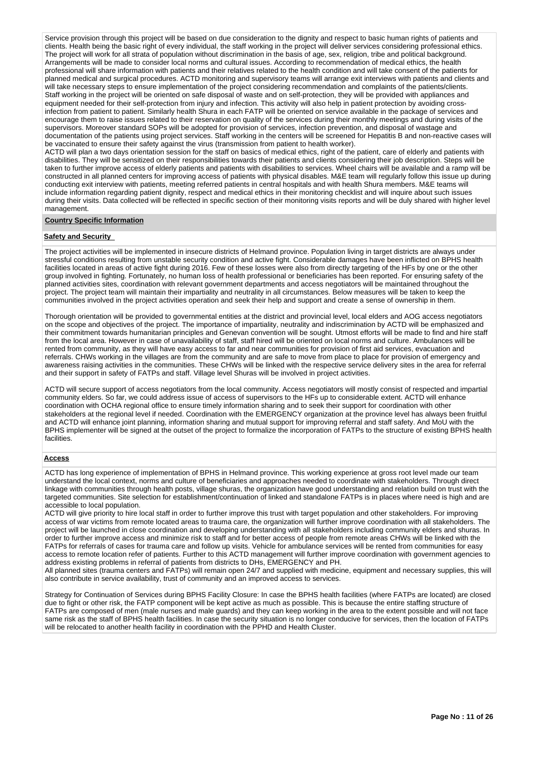Service provision through this project will be based on due consideration to the dignity and respect to basic human rights of patients and clients. Health being the basic right of every individual, the staff working in the project will deliver services considering professional ethics. The project will work for all strata of population without discrimination in the basis of age, sex, religion, tribe and political background. Arrangements will be made to consider local norms and cultural issues. According to recommendation of medical ethics, the health professional will share information with patients and their relatives related to the health condition and will take consent of the patients for planned medical and surgical procedures. ACTD monitoring and supervisory teams will arrange exit interviews with patients and clients and will take necessary steps to ensure implementation of the project considering recommendation and complaints of the patients/clients. Staff working in the project will be oriented on safe disposal of waste and on self-protection, they will be provided with appliances and equipment needed for their self-protection from injury and infection. This activity will also help in patient protection by avoiding crossinfection from patient to patient. Similarly health Shura in each FATP will be oriented on service available in the package of services and encourage them to raise issues related to their reservation on quality of the services during their monthly meetings and during visits of the supervisors. Moreover standard SOPs will be adopted for provision of services, infection prevention, and disposal of wastage and documentation of the patients using project services. Staff working in the centers will be screened for Hepatitis B and non-reactive cases will be vaccinated to ensure their safety against the virus (transmission from patient to health worker).

ACTD will plan a two days orientation session for the staff on basics of medical ethics, right of the patient, care of elderly and patients with disabilities. They will be sensitized on their responsibilities towards their patients and clients considering their job description. Steps will be taken to further improve access of elderly patients and patients with disabilities to services. Wheel chairs will be available and a ramp will be constructed in all planned centers for improving access of patients with physical disables. M&E team will regularly follow this issue up during conducting exit interview with patients, meeting referred patients in central hospitals and with health Shura members. M&E teams will include information regarding patient dignity, respect and medical ethics in their monitoring checklist and will inquire about such issues during their visits. Data collected will be reflected in specific section of their monitoring visits reports and will be duly shared with higher level management.

### **Country Specific Information**

#### **Safety and Security**

The project activities will be implemented in insecure districts of Helmand province. Population living in target districts are always under stressful conditions resulting from unstable security condition and active fight. Considerable damages have been inflicted on BPHS health facilities located in areas of active fight during 2016. Few of these losses were also from directly targeting of the HFs by one or the other group involved in fighting. Fortunately, no human loss of health professional or beneficiaries has been reported. For ensuring safety of the planned activities sites, coordination with relevant government departments and access negotiators will be maintained throughout the project. The project team will maintain their impartiality and neutrality in all circumstances. Below measures will be taken to keep the communities involved in the project activities operation and seek their help and support and create a sense of ownership in them.

Thorough orientation will be provided to governmental entities at the district and provincial level, local elders and AOG access negotiators on the scope and objectives of the project. The importance of impartiality, neutrality and indiscrimination by ACTD will be emphasized and their commitment towards humanitarian principles and Genevan convention will be sought. Utmost efforts will be made to find and hire staff from the local area. However in case of unavailability of staff, staff hired will be oriented on local norms and culture. Ambulances will be rented from community, as they will have easy access to far and near communities for provision of first aid services, evacuation and referrals. CHWs working in the villages are from the community and are safe to move from place to place for provision of emergency and awareness raising activities in the communities. These CHWs will be linked with the respective service delivery sites in the area for referral and their support in safety of FATPs and staff. Village level Shuras will be involved in project activities.

ACTD will secure support of access negotiators from the local community. Access negotiators will mostly consist of respected and impartial community elders. So far, we could address issue of access of supervisors to the HFs up to considerable extent. ACTD will enhance coordination with OCHA regional office to ensure timely information sharing and to seek their support for coordination with other stakeholders at the regional level if needed. Coordination with the EMERGENCY organization at the province level has always been fruitful and ACTD will enhance joint planning, information sharing and mutual support for improving referral and staff safety. And MoU with the BPHS implementer will be signed at the outset of the project to formalize the incorporation of FATPs to the structure of existing BPHS health facilities.

# **Access**

ACTD has long experience of implementation of BPHS in Helmand province. This working experience at gross root level made our team understand the local context, norms and culture of beneficiaries and approaches needed to coordinate with stakeholders. Through direct linkage with communities through health posts, village shuras, the organization have good understanding and relation build on trust with the targeted communities. Site selection for establishment/continuation of linked and standalone FATPs is in places where need is high and are accessible to local population.

ACTD will give priority to hire local staff in order to further improve this trust with target population and other stakeholders. For improving access of war victims from remote located areas to trauma care, the organization will further improve coordination with all stakeholders. The project will be launched in close coordination and developing understanding with all stakeholders including community elders and shuras. In order to further improve access and minimize risk to staff and for better access of people from remote areas CHWs will be linked with the FATPs for referrals of cases for trauma care and follow up visits. Vehicle for ambulance services will be rented from communities for easy access to remote location refer of patients. Further to this ACTD management will further improve coordination with government agencies to address existing problems in referral of patients from districts to DHs, EMERGENCY and PH.

All planned sites (trauma centers and FATPs) will remain open 24/7 and supplied with medicine, equipment and necessary supplies, this will also contribute in service availability, trust of community and an improved access to services.

Strategy for Continuation of Services during BPHS Facility Closure: In case the BPHS health facilities (where FATPs are located) are closed due to fight or other risk, the FATP component will be kept active as much as possible. This is because the entire staffing structure of FATPs are composed of men (male nurses and male guards) and they can keep working in the area to the extent possible and will not face same risk as the staff of BPHS health facilities. In case the security situation is no longer conducive for services, then the location of FATPs will be relocated to another health facility in coordination with the PPHD and Health Cluster.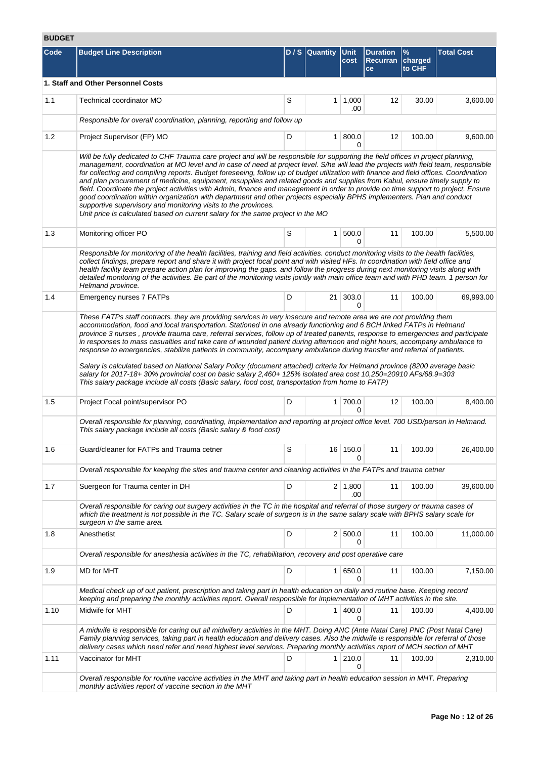# **BUDGET**

| Code | <b>Budget Line Description</b>                                                                                                                                                                                                                                                                                                                                                                                                                                                                                                                                                                                                                                                                                                                                                                                                                                                                                                                                       |   | D / S Quantity Unit | cost                  | <b>Duration</b><br><b>Recurran</b><br>ce | %<br>charged<br>to CHF | <b>Total Cost</b> |  |  |  |  |
|------|----------------------------------------------------------------------------------------------------------------------------------------------------------------------------------------------------------------------------------------------------------------------------------------------------------------------------------------------------------------------------------------------------------------------------------------------------------------------------------------------------------------------------------------------------------------------------------------------------------------------------------------------------------------------------------------------------------------------------------------------------------------------------------------------------------------------------------------------------------------------------------------------------------------------------------------------------------------------|---|---------------------|-----------------------|------------------------------------------|------------------------|-------------------|--|--|--|--|
|      | 1. Staff and Other Personnel Costs                                                                                                                                                                                                                                                                                                                                                                                                                                                                                                                                                                                                                                                                                                                                                                                                                                                                                                                                   |   |                     |                       |                                          |                        |                   |  |  |  |  |
| 1.1  | Technical coordinator MO                                                                                                                                                                                                                                                                                                                                                                                                                                                                                                                                                                                                                                                                                                                                                                                                                                                                                                                                             | S |                     | $1 \mid 1,000$<br>.00 | 12                                       | 30.00                  | 3,600.00          |  |  |  |  |
|      | Responsible for overall coordination, planning, reporting and follow up                                                                                                                                                                                                                                                                                                                                                                                                                                                                                                                                                                                                                                                                                                                                                                                                                                                                                              |   |                     |                       |                                          |                        |                   |  |  |  |  |
| 1.2  | Project Supervisor (FP) MO                                                                                                                                                                                                                                                                                                                                                                                                                                                                                                                                                                                                                                                                                                                                                                                                                                                                                                                                           | D | 1 <sup>1</sup>      | 800.0<br>0            | 12                                       | 100.00                 | 9,600.00          |  |  |  |  |
|      | Will be fully dedicated to CHF Trauma care project and will be responsible for supporting the field offices in project planning,<br>management, coordination at MO level and in case of need at project level. S/he will lead the projects with field team, responsible<br>for collecting and compiling reports. Budget foreseeing, follow up of budget utilization with finance and field offices. Coordination<br>and plan procurement of medicine, equipment, resupplies and related goods and supplies from Kabul, ensure timely supply to<br>field. Coordinate the project activities with Admin, finance and management in order to provide on time support to project. Ensure<br>good coordination within organization with department and other projects especially BPHS implementers. Plan and conduct<br>supportive supervisory and monitoring visits to the provinces.<br>Unit price is calculated based on current salary for the same project in the MO |   |                     |                       |                                          |                        |                   |  |  |  |  |
| 1.3  | Monitoring officer PO                                                                                                                                                                                                                                                                                                                                                                                                                                                                                                                                                                                                                                                                                                                                                                                                                                                                                                                                                | S |                     | 1   500.0<br>0        | 11                                       | 100.00                 | 5,500.00          |  |  |  |  |
|      | Responsible for monitoring of the health facilities, training and field activities. conduct monitoring visits to the health facilities,<br>collect findings, prepare report and share it with project focal point and with visited HFs. In coordination with field office and<br>health facility team prepare action plan for improving the gaps, and follow the progress during next monitoring visits along with<br>detailed monitoring of the activities. Be part of the monitoring visits jointly with main office team and with PHD team. 1 person for<br>Helmand province.                                                                                                                                                                                                                                                                                                                                                                                     |   |                     |                       |                                          |                        |                   |  |  |  |  |
| 1.4  | Emergency nurses 7 FATPs                                                                                                                                                                                                                                                                                                                                                                                                                                                                                                                                                                                                                                                                                                                                                                                                                                                                                                                                             | D | 21 <sup>1</sup>     | 303.0<br>0            | 11                                       | 100.00                 | 69,993.00         |  |  |  |  |
|      | province 3 nurses, provide trauma care, referral services, follow up of treated patients, response to emergencies and participate<br>in responses to mass casualties and take care of wounded patient during afternoon and night hours, accompany ambulance to<br>response to emergencies, stabilize patients in community, accompany ambulance during transfer and referral of patients.<br>Salary is calculated based on National Salary Policy (document attached) criteria for Helmand province (8200 average basic<br>salary for 2017-18+ 30% provincial cost on basic salary 2,460+ 125% isolated area cost 10,250=20910 AFs/68.9=303<br>This salary package include all costs (Basic salary, food cost, transportation from home to FATP)                                                                                                                                                                                                                     |   |                     |                       |                                          |                        |                   |  |  |  |  |
| 1.5  | Project Focal point/supervisor PO                                                                                                                                                                                                                                                                                                                                                                                                                                                                                                                                                                                                                                                                                                                                                                                                                                                                                                                                    | D |                     | 1 700.0<br>0          | 12                                       | 100.00                 | 8,400.00          |  |  |  |  |
|      | Overall responsible for planning, coordinating, implementation and reporting at project office level. 700 USD/person in Helmand.<br>This salary package include all costs (Basic salary & food cost)                                                                                                                                                                                                                                                                                                                                                                                                                                                                                                                                                                                                                                                                                                                                                                 |   |                     |                       |                                          |                        |                   |  |  |  |  |
| 1.6  | Guard/cleaner for FATPs and Trauma cetner                                                                                                                                                                                                                                                                                                                                                                                                                                                                                                                                                                                                                                                                                                                                                                                                                                                                                                                            | S |                     | 16 150.0<br>0         | 11                                       | 100.00                 | 26,400.00         |  |  |  |  |
|      | Overall responsible for keeping the sites and trauma center and cleaning activities in the FATPs and trauma cetner                                                                                                                                                                                                                                                                                                                                                                                                                                                                                                                                                                                                                                                                                                                                                                                                                                                   |   |                     |                       |                                          |                        |                   |  |  |  |  |
| 1.7  | Suergeon for Trauma center in DH                                                                                                                                                                                                                                                                                                                                                                                                                                                                                                                                                                                                                                                                                                                                                                                                                                                                                                                                     | D |                     | $2 \mid 1,800$<br>.00 | 11                                       | 100.00                 | 39,600.00         |  |  |  |  |
|      | Overall responsible for caring out surgery activities in the TC in the hospital and referral of those surgery or trauma cases of<br>which the treatment is not possible in the TC. Salary scale of surgeon is in the same salary scale with BPHS salary scale for<br>surgeon in the same area.                                                                                                                                                                                                                                                                                                                                                                                                                                                                                                                                                                                                                                                                       |   |                     |                       |                                          |                        |                   |  |  |  |  |
| 1.8  | Anesthetist                                                                                                                                                                                                                                                                                                                                                                                                                                                                                                                                                                                                                                                                                                                                                                                                                                                                                                                                                          | D |                     | 2 500.0<br>0          | 11                                       | 100.00                 | 11,000.00         |  |  |  |  |
|      | Overall responsible for anesthesia activities in the TC, rehabilitation, recovery and post operative care                                                                                                                                                                                                                                                                                                                                                                                                                                                                                                                                                                                                                                                                                                                                                                                                                                                            |   |                     |                       |                                          |                        |                   |  |  |  |  |
| 1.9  | MD for MHT                                                                                                                                                                                                                                                                                                                                                                                                                                                                                                                                                                                                                                                                                                                                                                                                                                                                                                                                                           | D |                     | 1   650.0<br>0        | 11                                       | 100.00                 | 7,150.00          |  |  |  |  |
|      | Medical check up of out patient, prescription and taking part in health education on daily and routine base. Keeping record<br>keeping and preparing the monthly activities report. Overall responsible for implementation of MHT activities in the site.                                                                                                                                                                                                                                                                                                                                                                                                                                                                                                                                                                                                                                                                                                            |   |                     |                       |                                          |                        |                   |  |  |  |  |
| 1.10 | Midwife for MHT                                                                                                                                                                                                                                                                                                                                                                                                                                                                                                                                                                                                                                                                                                                                                                                                                                                                                                                                                      | D |                     | 1   400.0<br>0        | 11                                       | 100.00                 | 4,400.00          |  |  |  |  |
|      | A midwife is responsible for caring out all midwifery activities in the MHT. Doing ANC (Ante Natal Care) PNC (Post Natal Care)<br>Family planning services, taking part in health education and delivery cases. Also the midwife is responsible for referral of those<br>delivery cases which need refer and need highest level services. Preparing monthly activities report of MCH section of MHT                                                                                                                                                                                                                                                                                                                                                                                                                                                                                                                                                                  |   |                     |                       |                                          |                        |                   |  |  |  |  |
| 1.11 | Vaccinator for MHT                                                                                                                                                                                                                                                                                                                                                                                                                                                                                                                                                                                                                                                                                                                                                                                                                                                                                                                                                   | D |                     | 1 210.0<br>0          | 11                                       | 100.00                 | 2,310.00          |  |  |  |  |
|      | Overall responsible for routine vaccine activities in the MHT and taking part in health education session in MHT. Preparing<br>monthly activities report of vaccine section in the MHT                                                                                                                                                                                                                                                                                                                                                                                                                                                                                                                                                                                                                                                                                                                                                                               |   |                     |                       |                                          |                        |                   |  |  |  |  |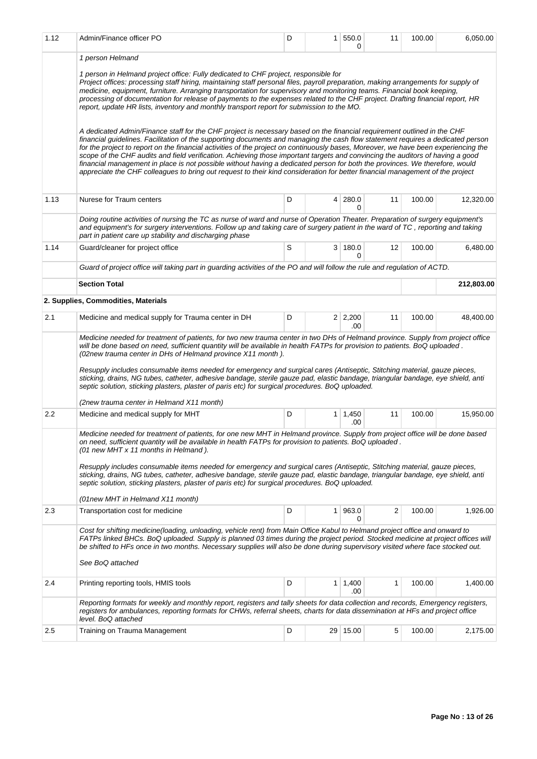| 1.12 | Admin/Finance officer PO                                                                                                                                                                                                                                                                                                                                                                                                                                                                                                                                                                                                                                                                                                                                                                            | D | $\mathbf{1}$ | 550.0<br>0            | 11 | 100.00 | 6,050.00   |
|------|-----------------------------------------------------------------------------------------------------------------------------------------------------------------------------------------------------------------------------------------------------------------------------------------------------------------------------------------------------------------------------------------------------------------------------------------------------------------------------------------------------------------------------------------------------------------------------------------------------------------------------------------------------------------------------------------------------------------------------------------------------------------------------------------------------|---|--------------|-----------------------|----|--------|------------|
|      | 1 person Helmand                                                                                                                                                                                                                                                                                                                                                                                                                                                                                                                                                                                                                                                                                                                                                                                    |   |              |                       |    |        |            |
|      | 1 person in Helmand project office: Fully dedicated to CHF project, responsible for<br>Project offices: processing staff hiring, maintaining staff personal files, payroll preparation, making arrangements for supply of<br>medicine, equipment, furniture. Arranging transportation for supervisory and monitoring teams. Financial book keeping,<br>processing of documentation for release of payments to the expenses related to the CHF project. Drafting financial report, HR<br>report, update HR lists, inventory and monthly transport report for submission to the MO.                                                                                                                                                                                                                   |   |              |                       |    |        |            |
|      | A dedicated Admin/Finance staff for the CHF project is necessary based on the financial requirement outlined in the CHF<br>financial guidelines. Facilitation of the supporting documents and managing the cash flow statement requires a dedicated person<br>for the project to report on the financial activities of the project on continuously bases, Moreover, we have been experiencing the<br>scope of the CHF audits and field verification. Achieving those important targets and convincing the auditors of having a good<br>financial management in place is not possible without having a dedicated person for both the provinces. We therefore, would<br>appreciate the CHF colleagues to bring out request to their kind consideration for better financial management of the project |   |              |                       |    |        |            |
| 1.13 | Nurese for Traum centers                                                                                                                                                                                                                                                                                                                                                                                                                                                                                                                                                                                                                                                                                                                                                                            | D |              | $4 \mid 280.0$<br>0   | 11 | 100.00 | 12,320.00  |
|      | Doing routine activities of nursing the TC as nurse of ward and nurse of Operation Theater. Preparation of surgery equipment's<br>and equipment's for surgery interventions. Follow up and taking care of surgery patient in the ward of TC, reporting and taking<br>part in patient care up stability and discharging phase                                                                                                                                                                                                                                                                                                                                                                                                                                                                        |   |              |                       |    |        |            |
| 1.14 | Guard/cleaner for project office                                                                                                                                                                                                                                                                                                                                                                                                                                                                                                                                                                                                                                                                                                                                                                    | S |              | 3 180.0<br>$\Omega$   | 12 | 100.00 | 6,480.00   |
|      | Guard of project office will taking part in guarding activities of the PO and will follow the rule and regulation of ACTD.                                                                                                                                                                                                                                                                                                                                                                                                                                                                                                                                                                                                                                                                          |   |              |                       |    |        |            |
|      | <b>Section Total</b>                                                                                                                                                                                                                                                                                                                                                                                                                                                                                                                                                                                                                                                                                                                                                                                |   |              |                       |    |        | 212,803.00 |
|      | 2. Supplies, Commodities, Materials                                                                                                                                                                                                                                                                                                                                                                                                                                                                                                                                                                                                                                                                                                                                                                 |   |              |                       |    |        |            |
| 2.1  | Medicine and medical supply for Trauma center in DH                                                                                                                                                                                                                                                                                                                                                                                                                                                                                                                                                                                                                                                                                                                                                 | D |              | $2 \mid 2,200$<br>.00 | 11 | 100.00 | 48,400.00  |
|      | Medicine needed for treatment of patients, for two new trauma center in two DHs of Helmand province. Supply from project office<br>will be done based on need, sufficient quantity will be available in health FATPs for provision to patients. BoQ uploaded.<br>(02new trauma center in DHs of Helmand province X11 month).<br>Resupply includes consumable items needed for emergency and surgical cares (Antiseptic, Stitching material, gauze pieces,<br>sticking, drains, NG tubes, catheter, adhesive bandage, sterile gauze pad, elastic bandage, triangular bandage, eye shield, anti<br>septic solution, sticking plasters, plaster of paris etc) for surgical procedures. BoQ uploaded.                                                                                                   |   |              |                       |    |        |            |
|      | (2new trauma center in Helmand X11 month)                                                                                                                                                                                                                                                                                                                                                                                                                                                                                                                                                                                                                                                                                                                                                           |   |              |                       |    |        |            |
| 2.2  | Medicine and medical supply for MHT                                                                                                                                                                                                                                                                                                                                                                                                                                                                                                                                                                                                                                                                                                                                                                 | D |              | $1 \mid 1,450$<br>.00 | 11 | 100.00 | 15,950.00  |
|      | Medicine needed for treatment of patients, for one new MHT in Helmand province. Supply from project office will be done based<br>on need, sufficient quantity will be available in health FATPs for provision to patients. BoQ uploaded.<br>(01 new MHT x 11 months in Helmand).<br>Resupply includes consumable items needed for emergency and surgical cares (Antiseptic, Stitching material, gauze pieces,<br>sticking, drains, NG tubes, catheter, adhesive bandage, sterile gauze pad, elastic bandage, triangular bandage, eye shield, anti                                                                                                                                                                                                                                                   |   |              |                       |    |        |            |
|      | septic solution, sticking plasters, plaster of paris etc) for surgical procedures. BoQ uploaded.                                                                                                                                                                                                                                                                                                                                                                                                                                                                                                                                                                                                                                                                                                    |   |              |                       |    |        |            |
| 2.3  | (01new MHT in Helmand X11 month)<br>Transportation cost for medicine                                                                                                                                                                                                                                                                                                                                                                                                                                                                                                                                                                                                                                                                                                                                | D | $\mathbf{1}$ | 963.0                 | 2  | 100.00 | 1,926.00   |
|      |                                                                                                                                                                                                                                                                                                                                                                                                                                                                                                                                                                                                                                                                                                                                                                                                     |   |              | 0                     |    |        |            |
|      | Cost for shifting medicine(loading, unloading, vehicle rent) from Main Office Kabul to Helmand project office and onward to<br>FATPs linked BHCs. BoQ uploaded. Supply is planned 03 times during the project period. Stocked medicine at project offices will<br>be shifted to HFs once in two months. Necessary supplies will also be done during supervisory visited where face stocked out.                                                                                                                                                                                                                                                                                                                                                                                                     |   |              |                       |    |        |            |
|      | See BoQ attached                                                                                                                                                                                                                                                                                                                                                                                                                                                                                                                                                                                                                                                                                                                                                                                    |   |              |                       |    |        |            |
| 2.4  | Printing reporting tools, HMIS tools                                                                                                                                                                                                                                                                                                                                                                                                                                                                                                                                                                                                                                                                                                                                                                | D |              | $1 \mid 1,400$<br>.00 | 1  | 100.00 | 1,400.00   |
|      | Reporting formats for weekly and monthly report, registers and tally sheets for data collection and records, Emergency registers,<br>registers for ambulances, reporting formats for CHWs, referral sheets, charts for data dissemination at HFs and project office<br>level. BoQ attached                                                                                                                                                                                                                                                                                                                                                                                                                                                                                                          |   |              |                       |    |        |            |
| 2.5  | Training on Trauma Management                                                                                                                                                                                                                                                                                                                                                                                                                                                                                                                                                                                                                                                                                                                                                                       | D |              | 29 15.00              | 5  | 100.00 | 2,175.00   |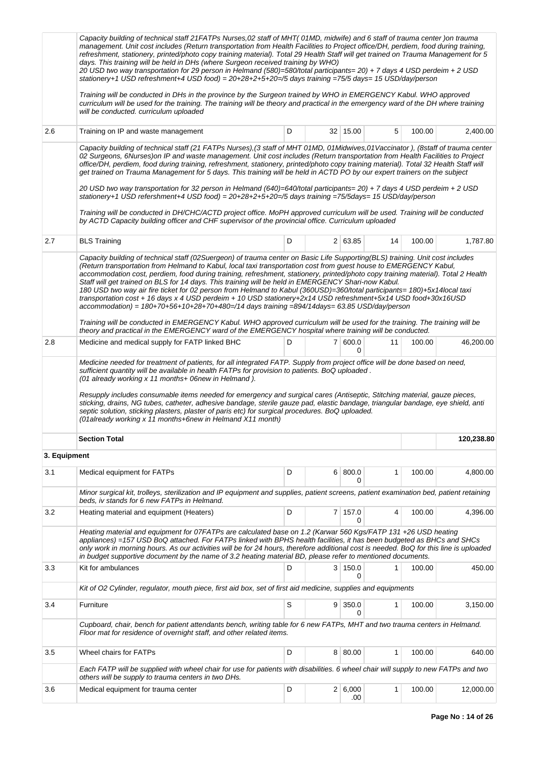|              | Capacity building of technical staff 21FATPs Nurses, 02 staff of MHT(01MD, midwife) and 6 staff of trauma center) on trauma<br>management. Unit cost includes (Return transportation from Health Facilities to Project office/DH, perdiem, food during training,<br>refreshment, stationery, printed/photo copy training material). Total 29 Health Staff will get trained on Trauma Management for 5<br>days. This training will be held in DHs (where Surgeon received training by WHO)<br>20 USD two way transportation for 29 person in Helmand (580)=580/total participants= 20) + 7 days 4 USD perdeim + 2 USD<br>stationery+1 USD refreshment+4 USD food) = 20+28+2+5+20=/5 days training =75/5 days= 15 USD/day/person                                                                                                                    |   |                 |    |        |            |
|--------------|---------------------------------------------------------------------------------------------------------------------------------------------------------------------------------------------------------------------------------------------------------------------------------------------------------------------------------------------------------------------------------------------------------------------------------------------------------------------------------------------------------------------------------------------------------------------------------------------------------------------------------------------------------------------------------------------------------------------------------------------------------------------------------------------------------------------------------------------------|---|-----------------|----|--------|------------|
|              | Training will be conducted in DHs in the province by the Surgeon trained by WHO in EMERGENCY Kabul. WHO approved<br>curriculum will be used for the training. The training will be theory and practical in the emergency ward of the DH where training<br>will be conducted. curriculum uploaded                                                                                                                                                                                                                                                                                                                                                                                                                                                                                                                                                  |   |                 |    |        |            |
| 2.6          | Training on IP and waste management                                                                                                                                                                                                                                                                                                                                                                                                                                                                                                                                                                                                                                                                                                                                                                                                               | D | $32 \mid 15.00$ | 5  | 100.00 | 2,400.00   |
|              | Capacity building of technical staff (21 FATPs Nurses), (3 staff of MHT 01MD, 01Midwives, 01 Vaccinator), (8staff of trauma center<br>02 Surgeons, 6Nurses) on IP and waste management. Unit cost includes (Return transportation from Health Facilities to Project<br>office/DH, perdiem, food during training, refreshment, stationery, printed/photo copy training material). Total 32 Health Staff will<br>get trained on Trauma Management for 5 days. This training will be held in ACTD PO by our expert trainers on the subject<br>20 USD two way transportation for 32 person in Helmand (640)=640/total participants= 20) + 7 days 4 USD perdeim + 2 USD<br>stationery+1 USD refershment+4 USD food) = 20+28+2+5+20=/5 days training =75/5days= 15 USD/day/person                                                                       |   |                 |    |        |            |
|              | Training will be conducted in DH/CHC/ACTD project office. MoPH approved curriculum will be used. Training will be conducted<br>by ACTD Capacity building officer and CHF supervisor of the provincial office. Curriculum uploaded                                                                                                                                                                                                                                                                                                                                                                                                                                                                                                                                                                                                                 |   |                 |    |        |            |
| 2.7          | <b>BLS Training</b>                                                                                                                                                                                                                                                                                                                                                                                                                                                                                                                                                                                                                                                                                                                                                                                                                               | D | 2 63.85         | 14 | 100.00 | 1,787.80   |
|              | Capacity building of technical staff (02Suergeon) of trauma center on Basic Life Supporting(BLS) training. Unit cost includes<br>(Return transportation from Helmand to Kabul, local taxi transportation cost from guest house to EMERGENCY Kabul,<br>accommodation cost, perdiem, food during training, refreshment, stationery, printed/photo copy training material). Total 2 Health<br>Staff will get trained on BLS for 14 days. This training will be held in EMERGENCY Shari-now Kabul.<br>180 USD two way air fire ticket for 02 person from Helmand to Kabul (360USD)=360/total participants= 180)+5x14local taxi<br>transportation cost + 16 days x 4 USD perdeim + 10 USD stationery+2x14 USD refreshment+5x14 USD food+30x16USD<br>$account modulation) = 180+70+56+10+28+70+480=714$ days training =894/14days= 63.85 USD/day/person |   |                 |    |        |            |
|              | Training will be conducted in EMERGENCY Kabul. WHO approved curriculum will be used for the training. The training will be<br>theory and practical in the EMERGENCY ward of the EMERGENCY hospital where training will be conducted.                                                                                                                                                                                                                                                                                                                                                                                                                                                                                                                                                                                                              |   |                 |    |        |            |
| 2.8          | Medicine and medical supply for FATP linked BHC                                                                                                                                                                                                                                                                                                                                                                                                                                                                                                                                                                                                                                                                                                                                                                                                   | D | 7   600.0<br>0  | 11 | 100.00 | 46,200.00  |
|              | sufficient quantity will be available in health FATPs for provision to patients. BoQ uploaded.<br>(01 already working x 11 months+ 06new in Helmand).<br>Resupply includes consumable items needed for emergency and surgical cares (Antiseptic, Stitching material, gauze pieces,<br>sticking, drains, NG tubes, catheter, adhesive bandage, sterile gauze pad, elastic bandage, triangular bandage, eve shield, anti<br>septic solution, sticking plasters, plaster of paris etc) for surgical procedures. BoQ uploaded.<br>(01already working x 11 months+6new in Helmand X11 month)                                                                                                                                                                                                                                                           |   |                 |    |        |            |
|              | <b>Section Total</b>                                                                                                                                                                                                                                                                                                                                                                                                                                                                                                                                                                                                                                                                                                                                                                                                                              |   |                 |    |        | 120,238.80 |
| 3. Equipment |                                                                                                                                                                                                                                                                                                                                                                                                                                                                                                                                                                                                                                                                                                                                                                                                                                                   |   |                 |    |        |            |
| 3.1          | Medical equipment for FATPs                                                                                                                                                                                                                                                                                                                                                                                                                                                                                                                                                                                                                                                                                                                                                                                                                       | D | 6 800.0<br>0    | 1  | 100.00 | 4,800.00   |
|              | Minor surgical kit, trolleys, sterilization and IP equipment and supplies, patient screens, patient examination bed, patient retaining<br>beds, iv stands for 6 new FATPs in Helmand.                                                                                                                                                                                                                                                                                                                                                                                                                                                                                                                                                                                                                                                             |   |                 |    |        |            |
| 3.2          | Heating material and equipment (Heaters)                                                                                                                                                                                                                                                                                                                                                                                                                                                                                                                                                                                                                                                                                                                                                                                                          | D | 7 157.0<br>0    | 4  | 100.00 | 4,396.00   |
|              | Heating material and equipment for 07FATPs are calculated base on 1.2 (Karwar 560 Kgs/FATP 131 +26 USD heating<br>appliances) =157 USD BoQ attached. For FATPs linked with BPHS health facilities, it has been budgeted as BHCs and SHCs<br>only work in morning hours. As our activities will be for 24 hours, therefore additional cost is needed. BoQ for this line is uploaded<br>in budget supportive document by the name of 3.2 heating material BD, please refer to mentioned documents.                                                                                                                                                                                                                                                                                                                                                  |   |                 |    |        |            |
| 3.3          | Kit for ambulances                                                                                                                                                                                                                                                                                                                                                                                                                                                                                                                                                                                                                                                                                                                                                                                                                                | D | 3   150.0<br>0  | 1  | 100.00 | 450.00     |
|              | Kit of O2 Cylinder, regulator, mouth piece, first aid box, set of first aid medicine, supplies and equipments                                                                                                                                                                                                                                                                                                                                                                                                                                                                                                                                                                                                                                                                                                                                     |   |                 |    |        |            |
| 3.4          | Furniture                                                                                                                                                                                                                                                                                                                                                                                                                                                                                                                                                                                                                                                                                                                                                                                                                                         | S | 9   350.0<br>0  | 1  | 100.00 | 3,150.00   |
|              | Cupboard, chair, bench for patient attendants bench, writing table for 6 new FATPs, MHT and two trauma centers in Helmand.<br>Floor mat for residence of overnight staff, and other related items.                                                                                                                                                                                                                                                                                                                                                                                                                                                                                                                                                                                                                                                |   |                 |    |        |            |
| 3.5          | Wheel chairs for FATPs                                                                                                                                                                                                                                                                                                                                                                                                                                                                                                                                                                                                                                                                                                                                                                                                                            | D | 8 80.00         | 1  | 100.00 | 640.00     |
|              | Each FATP will be supplied with wheel chair for use for patients with disabilities. 6 wheel chair will supply to new FATPs and two<br>others will be supply to trauma centers in two DHs.                                                                                                                                                                                                                                                                                                                                                                                                                                                                                                                                                                                                                                                         |   |                 |    |        |            |
| 3.6          | Medical equipment for trauma center                                                                                                                                                                                                                                                                                                                                                                                                                                                                                                                                                                                                                                                                                                                                                                                                               | D | 2 6,000<br>.00  | 1  | 100.00 | 12,000.00  |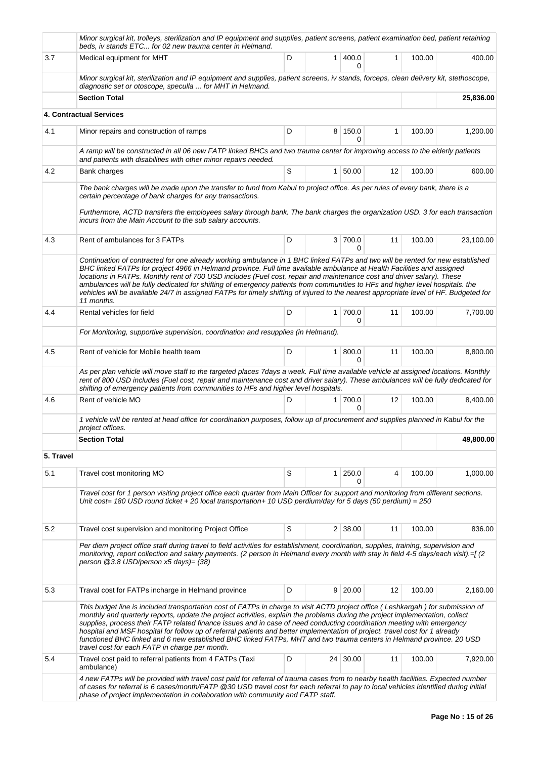|           | Minor surgical kit, trolleys, sterilization and IP equipment and supplies, patient screens, patient examination bed, patient retaining<br>beds, iv stands ETC for 02 new trauma center in Helmand.                                                                                                                                                                                                                                                                                                                                                                                                                                                                                                   |   |                |                |    |        |           |
|-----------|------------------------------------------------------------------------------------------------------------------------------------------------------------------------------------------------------------------------------------------------------------------------------------------------------------------------------------------------------------------------------------------------------------------------------------------------------------------------------------------------------------------------------------------------------------------------------------------------------------------------------------------------------------------------------------------------------|---|----------------|----------------|----|--------|-----------|
| 3.7       | Medical equipment for MHT                                                                                                                                                                                                                                                                                                                                                                                                                                                                                                                                                                                                                                                                            | D | $\mathbf{1}$   | 400.0<br>0     | 1  | 100.00 | 400.00    |
|           | Minor surgical kit, sterilization and IP equipment and supplies, patient screens, iv stands, forceps, clean delivery kit, stethoscope,<br>diagnostic set or otoscope, speculla  for MHT in Helmand.                                                                                                                                                                                                                                                                                                                                                                                                                                                                                                  |   |                |                |    |        |           |
|           | <b>Section Total</b>                                                                                                                                                                                                                                                                                                                                                                                                                                                                                                                                                                                                                                                                                 |   |                |                |    |        | 25,836.00 |
|           | 4. Contractual Services                                                                                                                                                                                                                                                                                                                                                                                                                                                                                                                                                                                                                                                                              |   |                |                |    |        |           |
| 4.1       | Minor repairs and construction of ramps                                                                                                                                                                                                                                                                                                                                                                                                                                                                                                                                                                                                                                                              | D |                | 8 150.0<br>0   | 1  | 100.00 | 1,200.00  |
|           | A ramp will be constructed in all 06 new FATP linked BHCs and two trauma center for improving access to the elderly patients<br>and patients with disabilities with other minor repairs needed.                                                                                                                                                                                                                                                                                                                                                                                                                                                                                                      |   |                |                |    |        |           |
| 4.2       | Bank charges                                                                                                                                                                                                                                                                                                                                                                                                                                                                                                                                                                                                                                                                                         | S |                | 1 50.00        | 12 | 100.00 | 600.00    |
|           | The bank charges will be made upon the transfer to fund from Kabul to project office. As per rules of every bank, there is a<br>certain percentage of bank charges for any transactions.                                                                                                                                                                                                                                                                                                                                                                                                                                                                                                             |   |                |                |    |        |           |
|           | Furthermore, ACTD transfers the employees salary through bank. The bank charges the organization USD. 3 for each transaction<br>incurs from the Main Account to the sub salary accounts.                                                                                                                                                                                                                                                                                                                                                                                                                                                                                                             |   |                |                |    |        |           |
| 4.3       | Rent of ambulances for 3 FATPs                                                                                                                                                                                                                                                                                                                                                                                                                                                                                                                                                                                                                                                                       | D |                | 3 700.0<br>0   | 11 | 100.00 | 23,100.00 |
|           | Continuation of contracted for one already working ambulance in 1 BHC linked FATPs and two will be rented for new established<br>BHC linked FATPs for project 4966 in Helmand province. Full time available ambulance at Health Facilities and assigned<br>locations in FATPs. Monthly rent of 700 USD includes (Fuel cost, repair and maintenance cost and driver salary). These<br>ambulances will be fully dedicated for shifting of emergency patients from communities to HFs and higher level hospitals. the<br>vehicles will be available 24/7 in assigned FATPs for timely shifting of injured to the nearest appropriate level of HF. Budgeted for<br>11 months.                            |   |                |                |    |        |           |
| 4.4       | Rental vehicles for field                                                                                                                                                                                                                                                                                                                                                                                                                                                                                                                                                                                                                                                                            | D | 1              | 700.0<br>0     | 11 | 100.00 | 7,700.00  |
|           | For Monitoring, supportive supervision, coordination and resupplies (in Helmand).                                                                                                                                                                                                                                                                                                                                                                                                                                                                                                                                                                                                                    |   |                |                |    |        |           |
| 4.5       | Rent of vehicle for Mobile health team                                                                                                                                                                                                                                                                                                                                                                                                                                                                                                                                                                                                                                                               | D | 1 <sup>1</sup> | 800.0<br>0     | 11 | 100.00 | 8,800.00  |
|           | As per plan vehicle will move staff to the targeted places 7days a week. Full time available vehicle at assigned locations. Monthly<br>rent of 800 USD includes (Fuel cost, repair and maintenance cost and driver salary). These ambulances will be fully dedicated for<br>shifting of emergency patients from communities to HFs and higher level hospitals.                                                                                                                                                                                                                                                                                                                                       |   |                |                |    |        |           |
| 4.6       | Rent of vehicle MO                                                                                                                                                                                                                                                                                                                                                                                                                                                                                                                                                                                                                                                                                   | D | 1              | 700.0<br>0     | 12 | 100.00 | 8,400.00  |
|           | 1 vehicle will be rented at head office for coordination purposes, follow up of procurement and supplies planned in Kabul for the<br>project offices.                                                                                                                                                                                                                                                                                                                                                                                                                                                                                                                                                |   |                |                |    |        |           |
|           | <b>Section Total</b>                                                                                                                                                                                                                                                                                                                                                                                                                                                                                                                                                                                                                                                                                 |   |                |                |    |        | 49,800.00 |
| 5. Travel |                                                                                                                                                                                                                                                                                                                                                                                                                                                                                                                                                                                                                                                                                                      |   |                |                |    |        |           |
| 5.1       | Travel cost monitoring MO                                                                                                                                                                                                                                                                                                                                                                                                                                                                                                                                                                                                                                                                            | S | 1              | 250.0<br>0     | 4  | 100.00 | 1,000.00  |
|           | Travel cost for 1 person visiting project office each quarter from Main Officer for support and monitoring from different sections.<br>Unit cost= 180 USD round ticket + 20 local transportation+ 10 USD perdium/day for 5 days (50 perdium) = 250                                                                                                                                                                                                                                                                                                                                                                                                                                                   |   |                |                |    |        |           |
| 5.2       | Travel cost supervision and monitoring Project Office                                                                                                                                                                                                                                                                                                                                                                                                                                                                                                                                                                                                                                                | S |                | $2 \mid 38.00$ | 11 | 100.00 | 836.00    |
|           | Per diem project office staff during travel to field activities for establishment, coordination, supplies, training, supervision and<br>monitoring, report collection and salary payments. (2 person in Helmand every month with stay in field 4-5 days/each visit).=[(2<br>person @3.8 USD/person x5 days)= (38)                                                                                                                                                                                                                                                                                                                                                                                    |   |                |                |    |        |           |
| 5.3       | Traval cost for FATPs incharge in Helmand province                                                                                                                                                                                                                                                                                                                                                                                                                                                                                                                                                                                                                                                   | D | 9              | 20.00          | 12 | 100.00 | 2,160.00  |
|           | This budget line is included transportation cost of FATPs in charge to visit ACTD project office (Leshkargah) for submission of<br>monthly and quarterly reports, update the project activities, explain the problems during the project implementation, collect<br>supplies, process their FATP related finance issues and in case of need conducting coordination meeting with emergency<br>hospital and MSF hospital for follow up of referral patients and better implementation of project. travel cost for 1 already<br>functioned BHC linked and 6 new established BHC linked FATPs, MHT and two trauma centers in Helmand province. 20 USD<br>travel cost for each FATP in charge per month. |   |                |                |    |        |           |
| 5.4       | Travel cost paid to referral patients from 4 FATPs (Taxi<br>ambulance)                                                                                                                                                                                                                                                                                                                                                                                                                                                                                                                                                                                                                               | D | 24             | 30.00          | 11 | 100.00 | 7,920.00  |
|           | 4 new FATPs will be provided with travel cost paid for referral of trauma cases from to nearby health facilities. Expected number<br>of cases for referral is 6 cases/month/FATP @30 USD travel cost for each referral to pay to local vehicles identified during initial<br>phase of project implementation in collaboration with community and FATP staff.                                                                                                                                                                                                                                                                                                                                         |   |                |                |    |        |           |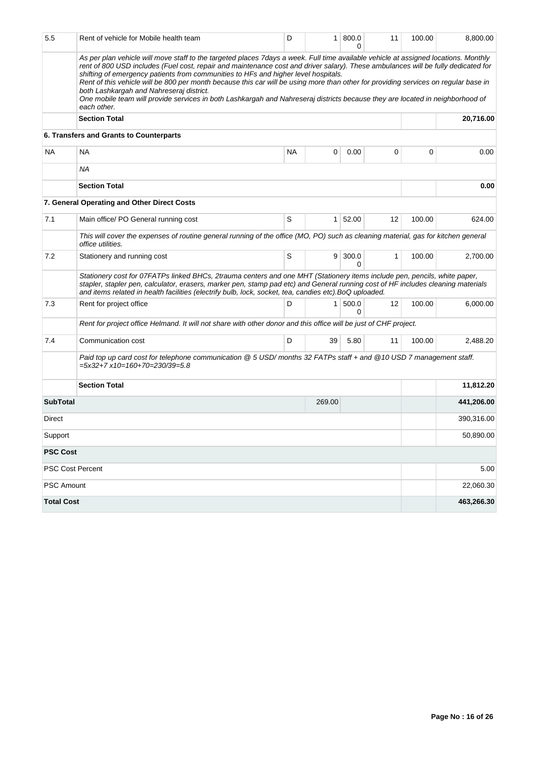| 5.5                     | Rent of vehicle for Mobile health team                                                                                                                                                                                                                                                                                                                                                                                                                                                                                                                                                                                                                                                            | D         | 1 <sup>1</sup> | 800.0<br>0 | 11 | 100.00 | 8,800.00   |  |  |  |
|-------------------------|---------------------------------------------------------------------------------------------------------------------------------------------------------------------------------------------------------------------------------------------------------------------------------------------------------------------------------------------------------------------------------------------------------------------------------------------------------------------------------------------------------------------------------------------------------------------------------------------------------------------------------------------------------------------------------------------------|-----------|----------------|------------|----|--------|------------|--|--|--|
|                         | As per plan vehicle will move staff to the targeted places 7days a week. Full time available vehicle at assigned locations. Monthly<br>rent of 800 USD includes (Fuel cost, repair and maintenance cost and driver salary). These ambulances will be fully dedicated for<br>shifting of emergency patients from communities to HFs and higher level hospitals.<br>Rent of this vehicle will be 800 per month because this car will be using more than other for providing services on regular base in<br>both Lashkargah and Nahreseraj district.<br>One mobile team will provide services in both Lashkargah and Nahreseraj districts because they are located in neighborhood of<br>each other. |           |                |            |    |        |            |  |  |  |
|                         | <b>Section Total</b>                                                                                                                                                                                                                                                                                                                                                                                                                                                                                                                                                                                                                                                                              |           |                |            |    |        | 20,716.00  |  |  |  |
|                         | 6. Transfers and Grants to Counterparts                                                                                                                                                                                                                                                                                                                                                                                                                                                                                                                                                                                                                                                           |           |                |            |    |        |            |  |  |  |
| <b>NA</b>               | <b>NA</b>                                                                                                                                                                                                                                                                                                                                                                                                                                                                                                                                                                                                                                                                                         | <b>NA</b> | 0              | 0.00       | 0  | 0      | 0.00       |  |  |  |
|                         | ΝA                                                                                                                                                                                                                                                                                                                                                                                                                                                                                                                                                                                                                                                                                                |           |                |            |    |        |            |  |  |  |
|                         | <b>Section Total</b>                                                                                                                                                                                                                                                                                                                                                                                                                                                                                                                                                                                                                                                                              |           |                |            |    |        | 0.00       |  |  |  |
|                         | 7. General Operating and Other Direct Costs                                                                                                                                                                                                                                                                                                                                                                                                                                                                                                                                                                                                                                                       |           |                |            |    |        |            |  |  |  |
| 7.1                     | Main office/ PO General running cost                                                                                                                                                                                                                                                                                                                                                                                                                                                                                                                                                                                                                                                              | S         | 1 <sup>1</sup> | 52.00      | 12 | 100.00 | 624.00     |  |  |  |
|                         | This will cover the expenses of routine general running of the office (MO, PO) such as cleaning material, gas for kitchen general<br>office utilities.                                                                                                                                                                                                                                                                                                                                                                                                                                                                                                                                            |           |                |            |    |        |            |  |  |  |
| 7.2                     | Stationery and running cost                                                                                                                                                                                                                                                                                                                                                                                                                                                                                                                                                                                                                                                                       | S         | 9 <sup>1</sup> | 300.0<br>0 | 1  | 100.00 | 2,700.00   |  |  |  |
|                         | Stationery cost for 07FATPs linked BHCs, 2trauma centers and one MHT (Stationery items include pen, pencils, white paper,<br>stapler, stapler pen, calculator, erasers, marker pen, stamp pad etc) and General running cost of HF includes cleaning materials<br>and items related in health facilities (electrify bulb, lock, socket, tea, candies etc).BoQ uploaded.                                                                                                                                                                                                                                                                                                                            |           |                |            |    |        |            |  |  |  |
| 7.3                     | Rent for project office                                                                                                                                                                                                                                                                                                                                                                                                                                                                                                                                                                                                                                                                           | D         | $\mathbf{1}$   | 500.0<br>0 | 12 | 100.00 | 6,000.00   |  |  |  |
|                         | Rent for project office Helmand. It will not share with other donor and this office will be just of CHF project.                                                                                                                                                                                                                                                                                                                                                                                                                                                                                                                                                                                  |           |                |            |    |        |            |  |  |  |
| 7.4                     | Communication cost                                                                                                                                                                                                                                                                                                                                                                                                                                                                                                                                                                                                                                                                                | D         | 39             | 5.80       | 11 | 100.00 | 2,488.20   |  |  |  |
|                         | Paid top up card cost for telephone communication @ 5 USD/months 32 FATPs staff + and @10 USD 7 management staff.<br>$=5x32+7$ x10=160+70=230/39=5.8                                                                                                                                                                                                                                                                                                                                                                                                                                                                                                                                              |           |                |            |    |        |            |  |  |  |
|                         | <b>Section Total</b>                                                                                                                                                                                                                                                                                                                                                                                                                                                                                                                                                                                                                                                                              |           |                |            |    |        | 11,812.20  |  |  |  |
| <b>SubTotal</b>         |                                                                                                                                                                                                                                                                                                                                                                                                                                                                                                                                                                                                                                                                                                   |           | 269.00         |            |    |        | 441,206.00 |  |  |  |
| Direct                  |                                                                                                                                                                                                                                                                                                                                                                                                                                                                                                                                                                                                                                                                                                   |           |                |            |    |        | 390,316.00 |  |  |  |
| Support                 |                                                                                                                                                                                                                                                                                                                                                                                                                                                                                                                                                                                                                                                                                                   |           |                |            |    |        | 50,890.00  |  |  |  |
| <b>PSC Cost</b>         |                                                                                                                                                                                                                                                                                                                                                                                                                                                                                                                                                                                                                                                                                                   |           |                |            |    |        |            |  |  |  |
| <b>PSC Cost Percent</b> |                                                                                                                                                                                                                                                                                                                                                                                                                                                                                                                                                                                                                                                                                                   |           |                |            |    |        | 5.00       |  |  |  |
| <b>PSC Amount</b>       |                                                                                                                                                                                                                                                                                                                                                                                                                                                                                                                                                                                                                                                                                                   |           |                |            |    |        | 22,060.30  |  |  |  |
| <b>Total Cost</b>       |                                                                                                                                                                                                                                                                                                                                                                                                                                                                                                                                                                                                                                                                                                   |           |                |            |    |        | 463,266.30 |  |  |  |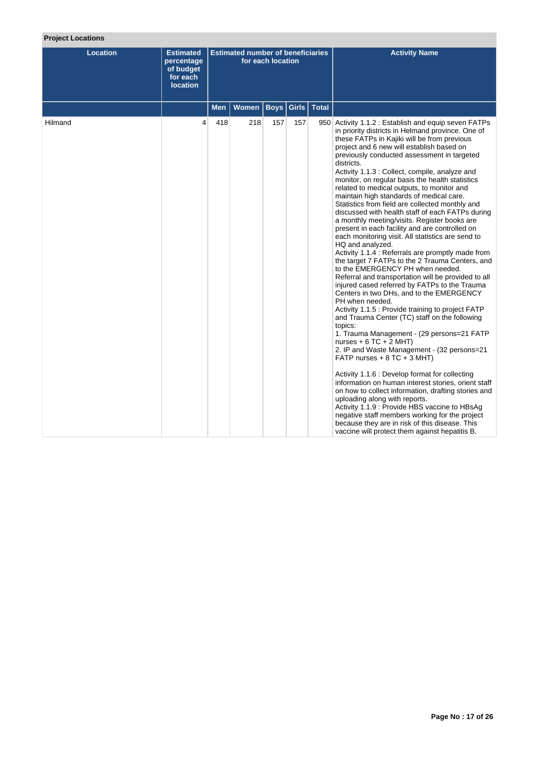# **Project Locations**

| <b>Location</b> | <b>Estimated</b><br>percentage<br>of budget<br>for each<br><b>location</b> |            | <b>Estimated number of beneficiaries</b> | for each location |     |               | <b>Activity Name</b>                                                                                                                                                                                                                                                                                                                                                                                                                                                                                                                                                                                                                                                                                                                                                                                                                                                                                                                                                                                                                                                                                                                                                                                                                                                                                                                                                                                                                                                                                                                                                                                                                                                                                                                                          |
|-----------------|----------------------------------------------------------------------------|------------|------------------------------------------|-------------------|-----|---------------|---------------------------------------------------------------------------------------------------------------------------------------------------------------------------------------------------------------------------------------------------------------------------------------------------------------------------------------------------------------------------------------------------------------------------------------------------------------------------------------------------------------------------------------------------------------------------------------------------------------------------------------------------------------------------------------------------------------------------------------------------------------------------------------------------------------------------------------------------------------------------------------------------------------------------------------------------------------------------------------------------------------------------------------------------------------------------------------------------------------------------------------------------------------------------------------------------------------------------------------------------------------------------------------------------------------------------------------------------------------------------------------------------------------------------------------------------------------------------------------------------------------------------------------------------------------------------------------------------------------------------------------------------------------------------------------------------------------------------------------------------------------|
|                 |                                                                            | <b>Men</b> | <b>Women</b>                             | <b>Boys</b>       |     | Girls   Total |                                                                                                                                                                                                                                                                                                                                                                                                                                                                                                                                                                                                                                                                                                                                                                                                                                                                                                                                                                                                                                                                                                                                                                                                                                                                                                                                                                                                                                                                                                                                                                                                                                                                                                                                                               |
| Hilmand         | 4                                                                          | 418        | 218                                      | 157               | 157 |               | 950 Activity 1.1.2 : Establish and equip seven FATPs<br>in priority districts in Helmand province. One of<br>these FATPs in Kajiki will be from previous<br>project and 6 new will establish based on<br>previously conducted assessment in targeted<br>districts.<br>Activity 1.1.3 : Collect, compile, analyze and<br>monitor, on regular basis the health statistics<br>related to medical outputs, to monitor and<br>maintain high standards of medical care.<br>Statistics from field are collected monthly and<br>discussed with health staff of each FATPs during<br>a monthly meeting/visits. Register books are<br>present in each facility and are controlled on<br>each monitoring visit. All statistics are send to<br>HQ and analyzed.<br>Activity 1.1.4 : Referrals are promptly made from<br>the target 7 FATPs to the 2 Trauma Centers, and<br>to the EMERGENCY PH when needed.<br>Referral and transportation will be provided to all<br>injured cased referred by FATPs to the Trauma<br>Centers in two DHs, and to the EMERGENCY<br>PH when needed.<br>Activity 1.1.5 : Provide training to project FATP<br>and Trauma Center (TC) staff on the following<br>topics:<br>1. Trauma Management - (29 persons=21 FATP<br>nurses + $6$ TC + $2$ MHT)<br>2. IP and Waste Management - (32 persons=21<br>FATP nurses $+ 8$ TC $+ 3$ MHT)<br>Activity 1.1.6 : Develop format for collecting<br>information on human interest stories, orient staff<br>on how to collect information, drafting stories and<br>uploading along with reports.<br>Activity 1.1.9 : Provide HBS vaccine to HBsAg<br>negative staff members working for the project<br>because they are in risk of this disease. This<br>vaccine will protect them against hepatitis B. |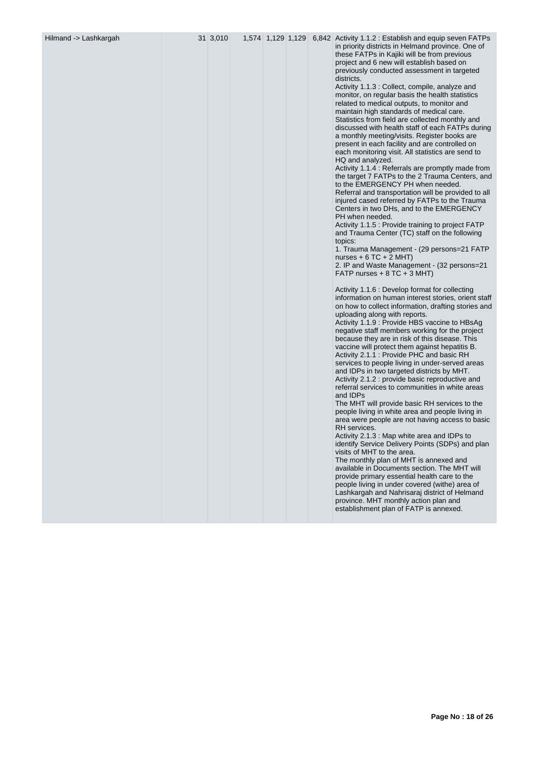| Hilmand -> Lashkargah | 31 3,010 | 1,574 1,129 1,129 |  | 6,842 Activity 1.1.2 : Establish and equip seven FATPs<br>in priority districts in Helmand province. One of<br>these FATPs in Kajiki will be from previous<br>project and 6 new will establish based on<br>previously conducted assessment in targeted<br>districts.<br>Activity 1.1.3 : Collect, compile, analyze and<br>monitor, on regular basis the health statistics<br>related to medical outputs, to monitor and<br>maintain high standards of medical care.<br>Statistics from field are collected monthly and<br>discussed with health staff of each FATPs during<br>a monthly meeting/visits. Register books are<br>present in each facility and are controlled on<br>each monitoring visit. All statistics are send to<br>HQ and analyzed.<br>Activity 1.1.4 : Referrals are promptly made from<br>the target 7 FATPs to the 2 Trauma Centers, and<br>to the EMERGENCY PH when needed.<br>Referral and transportation will be provided to all<br>injured cased referred by FATPs to the Trauma<br>Centers in two DHs, and to the EMERGENCY<br>PH when needed.<br>Activity 1.1.5 : Provide training to project FATP<br>and Trauma Center (TC) staff on the following<br>topics:<br>1. Trauma Management - (29 persons=21 FATP<br>nurses $+ 6 TC + 2 MHT$<br>2. IP and Waste Management - (32 persons=21<br>FATP nurses $+8$ TC $+3$ MHT)<br>Activity 1.1.6 : Develop format for collecting<br>information on human interest stories, orient staff<br>on how to collect information, drafting stories and<br>uploading along with reports.<br>Activity 1.1.9 : Provide HBS vaccine to HBsAg<br>negative staff members working for the project<br>because they are in risk of this disease. This<br>vaccine will protect them against hepatitis B.<br>Activity 2.1.1 : Provide PHC and basic RH<br>services to people living in under-served areas<br>and IDPs in two targeted districts by MHT.<br>Activity 2.1.2 : provide basic reproductive and<br>referral services to communities in white areas<br>and IDPs<br>The MHT will provide basic RH services to the<br>people living in white area and people living in<br>area were people are not having access to basic<br>RH services.<br>Activity 2.1.3 : Map white area and IDPs to<br>identify Service Delivery Points (SDPs) and plan<br>visits of MHT to the area.<br>The monthly plan of MHT is annexed and<br>available in Documents section. The MHT will<br>provide primary essential health care to the<br>people living in under covered (withe) area of |
|-----------------------|----------|-------------------|--|---------------------------------------------------------------------------------------------------------------------------------------------------------------------------------------------------------------------------------------------------------------------------------------------------------------------------------------------------------------------------------------------------------------------------------------------------------------------------------------------------------------------------------------------------------------------------------------------------------------------------------------------------------------------------------------------------------------------------------------------------------------------------------------------------------------------------------------------------------------------------------------------------------------------------------------------------------------------------------------------------------------------------------------------------------------------------------------------------------------------------------------------------------------------------------------------------------------------------------------------------------------------------------------------------------------------------------------------------------------------------------------------------------------------------------------------------------------------------------------------------------------------------------------------------------------------------------------------------------------------------------------------------------------------------------------------------------------------------------------------------------------------------------------------------------------------------------------------------------------------------------------------------------------------------------------------------------------------------------------------------------------------------------------------------------------------------------------------------------------------------------------------------------------------------------------------------------------------------------------------------------------------------------------------------------------------------------------------------------------------------------------------------------------------------------------------------------------------------------------------------------------------------------|
|                       |          |                   |  | Lashkargah and Nahrisaraj district of Helmand<br>province. MHT monthly action plan and<br>establishment plan of FATP is annexed.                                                                                                                                                                                                                                                                                                                                                                                                                                                                                                                                                                                                                                                                                                                                                                                                                                                                                                                                                                                                                                                                                                                                                                                                                                                                                                                                                                                                                                                                                                                                                                                                                                                                                                                                                                                                                                                                                                                                                                                                                                                                                                                                                                                                                                                                                                                                                                                                |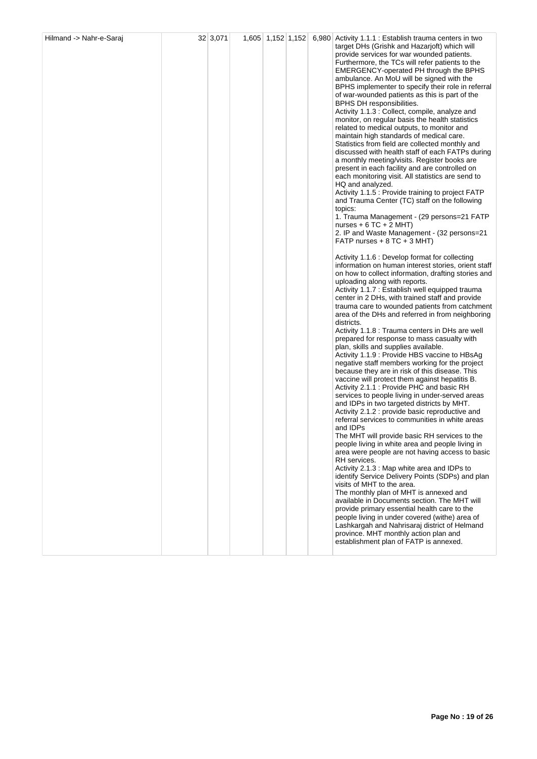| Hilmand -> Nahr-e-Saraj | 32 3,071 | $1,605$ 1,152 1,152 |  | 6,980 Activity 1.1.1 : Establish trauma centers in two<br>target DHs (Grishk and Hazarjoft) which will<br>provide services for war wounded patients.<br>Furthermore, the TCs will refer patients to the<br>EMERGENCY-operated PH through the BPHS<br>ambulance. An MoU will be signed with the<br>BPHS implementer to specify their role in referral<br>of war-wounded patients as this is part of the<br>BPHS DH responsibilities.<br>Activity 1.1.3 : Collect, compile, analyze and<br>monitor, on regular basis the health statistics<br>related to medical outputs, to monitor and<br>maintain high standards of medical care.<br>Statistics from field are collected monthly and<br>discussed with health staff of each FATPs during<br>a monthly meeting/visits. Register books are<br>present in each facility and are controlled on<br>each monitoring visit. All statistics are send to<br>HQ and analyzed.<br>Activity 1.1.5 : Provide training to project FATP<br>and Trauma Center (TC) staff on the following<br>topics:<br>1. Trauma Management - (29 persons=21 FATP<br>nurses + $6$ TC + $2$ MHT)<br>2. IP and Waste Management - (32 persons=21<br>FATP nurses $+8$ TC $+3$ MHT)<br>Activity 1.1.6 : Develop format for collecting<br>information on human interest stories, orient staff<br>on how to collect information, drafting stories and<br>uploading along with reports.<br>Activity 1.1.7 : Establish well equipped trauma<br>center in 2 DHs, with trained staff and provide<br>trauma care to wounded patients from catchment<br>area of the DHs and referred in from neighboring<br>districts.<br>Activity 1.1.8 : Trauma centers in DHs are well<br>prepared for response to mass casualty with<br>plan, skills and supplies available.<br>Activity 1.1.9 : Provide HBS vaccine to HBsAg<br>negative staff members working for the project<br>because they are in risk of this disease. This<br>vaccine will protect them against hepatitis B.<br>Activity 2.1.1 : Provide PHC and basic RH<br>services to people living in under-served areas<br>and IDPs in two targeted districts by MHT.<br>Activity 2.1.2 : provide basic reproductive and<br>referral services to communities in white areas<br>and IDPs<br>The MHT will provide basic RH services to the<br>people living in white area and people living in<br>area were people are not having access to basic<br>RH services.<br>Activity 2.1.3 : Map white area and IDPs to<br>identify Service Delivery Points (SDPs) and plan<br>visits of MHT to the area.<br>The monthly plan of MHT is annexed and<br>available in Documents section. The MHT will<br>provide primary essential health care to the<br>people living in under covered (withe) area of |
|-------------------------|----------|---------------------|--|----------------------------------------------------------------------------------------------------------------------------------------------------------------------------------------------------------------------------------------------------------------------------------------------------------------------------------------------------------------------------------------------------------------------------------------------------------------------------------------------------------------------------------------------------------------------------------------------------------------------------------------------------------------------------------------------------------------------------------------------------------------------------------------------------------------------------------------------------------------------------------------------------------------------------------------------------------------------------------------------------------------------------------------------------------------------------------------------------------------------------------------------------------------------------------------------------------------------------------------------------------------------------------------------------------------------------------------------------------------------------------------------------------------------------------------------------------------------------------------------------------------------------------------------------------------------------------------------------------------------------------------------------------------------------------------------------------------------------------------------------------------------------------------------------------------------------------------------------------------------------------------------------------------------------------------------------------------------------------------------------------------------------------------------------------------------------------------------------------------------------------------------------------------------------------------------------------------------------------------------------------------------------------------------------------------------------------------------------------------------------------------------------------------------------------------------------------------------------------------------------------------------------------------------------------------------------------------------------------------------------------------------------------------------------------------------------------------------------------------------------|
|                         |          |                     |  | Lashkargah and Nahrisaraj district of Helmand<br>province. MHT monthly action plan and<br>establishment plan of FATP is annexed.                                                                                                                                                                                                                                                                                                                                                                                                                                                                                                                                                                                                                                                                                                                                                                                                                                                                                                                                                                                                                                                                                                                                                                                                                                                                                                                                                                                                                                                                                                                                                                                                                                                                                                                                                                                                                                                                                                                                                                                                                                                                                                                                                                                                                                                                                                                                                                                                                                                                                                                                                                                                                   |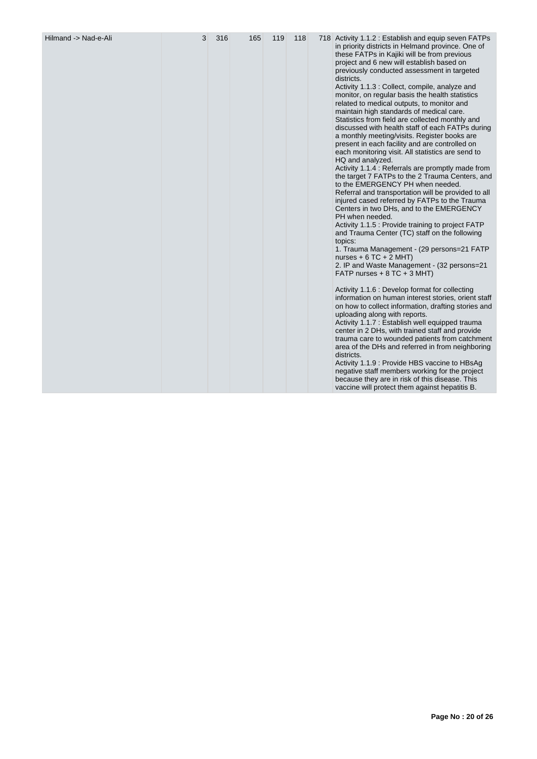|  |  |  |  |  |  |  | 718 Activity 1.1.2 : Establish and equip seven FATPs<br>in priority districts in Helmand province. One of<br>these FATPs in Kajiki will be from previous<br>project and 6 new will establish based on<br>previously conducted assessment in targeted<br>districts.<br>Activity 1.1.3 : Collect, compile, analyze and<br>monitor, on regular basis the health statistics<br>related to medical outputs, to monitor and<br>maintain high standards of medical care.<br>Statistics from field are collected monthly and<br>discussed with health staff of each FATPs during<br>a monthly meeting/visits. Register books are<br>present in each facility and are controlled on<br>each monitoring visit. All statistics are send to<br>HQ and analyzed.<br>Activity 1.1.4 : Referrals are promptly made from<br>the target 7 FATPs to the 2 Trauma Centers, and<br>to the EMERGENCY PH when needed.<br>Referral and transportation will be provided to all<br>injured cased referred by FATPs to the Trauma<br>Centers in two DHs, and to the EMERGENCY<br>PH when needed.<br>Activity 1.1.5 : Provide training to project FATP<br>and Trauma Center (TC) staff on the following<br>topics:<br>1. Trauma Management - (29 persons=21 FATP<br>nurses + $6$ TC + 2 MHT)<br>2. IP and Waste Management - (32 persons=21<br>FATP nurses $+8$ TC $+3$ MHT)<br>Activity 1.1.6 : Develop format for collecting<br>information on human interest stories, orient staff<br>on how to collect information, drafting stories and<br>uploading along with reports.<br>Activity 1.1.7 : Establish well equipped trauma<br>center in 2 DHs, with trained staff and provide<br>trauma care to wounded patients from catchment<br>area of the DHs and referred in from neighboring<br>districts.<br>Activity 1.1.9 : Provide HBS vaccine to HBsAg |
|--|--|--|--|--|--|--|-------------------------------------------------------------------------------------------------------------------------------------------------------------------------------------------------------------------------------------------------------------------------------------------------------------------------------------------------------------------------------------------------------------------------------------------------------------------------------------------------------------------------------------------------------------------------------------------------------------------------------------------------------------------------------------------------------------------------------------------------------------------------------------------------------------------------------------------------------------------------------------------------------------------------------------------------------------------------------------------------------------------------------------------------------------------------------------------------------------------------------------------------------------------------------------------------------------------------------------------------------------------------------------------------------------------------------------------------------------------------------------------------------------------------------------------------------------------------------------------------------------------------------------------------------------------------------------------------------------------------------------------------------------------------------------------------------------------------------------------------------------------------------------------------------------------------------|
|--|--|--|--|--|--|--|-------------------------------------------------------------------------------------------------------------------------------------------------------------------------------------------------------------------------------------------------------------------------------------------------------------------------------------------------------------------------------------------------------------------------------------------------------------------------------------------------------------------------------------------------------------------------------------------------------------------------------------------------------------------------------------------------------------------------------------------------------------------------------------------------------------------------------------------------------------------------------------------------------------------------------------------------------------------------------------------------------------------------------------------------------------------------------------------------------------------------------------------------------------------------------------------------------------------------------------------------------------------------------------------------------------------------------------------------------------------------------------------------------------------------------------------------------------------------------------------------------------------------------------------------------------------------------------------------------------------------------------------------------------------------------------------------------------------------------------------------------------------------------------------------------------------------------|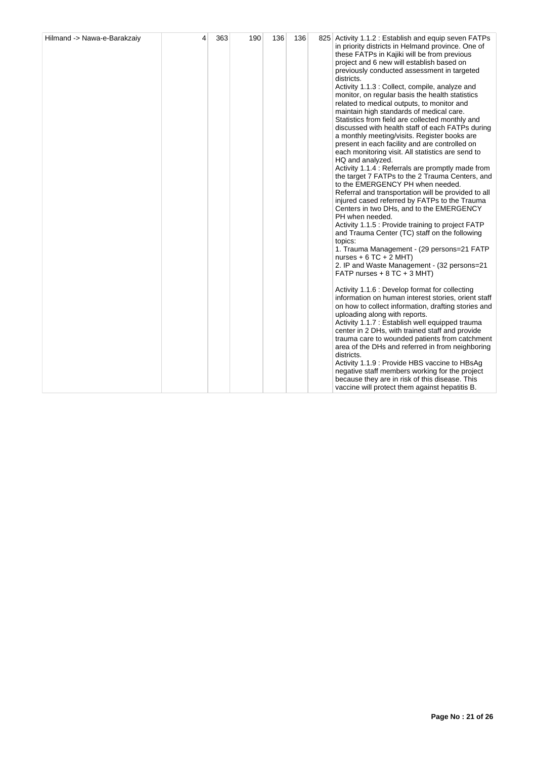| Hilmand -> Nawa-e-Barakzaiy | 4 | 363 | 190 | 136 | 136 |  | 825 Activity 1.1.2 : Establish and equip seven FATPs<br>in priority districts in Helmand province. One of<br>these FATPs in Kajiki will be from previous<br>project and 6 new will establish based on<br>previously conducted assessment in targeted<br>districts.<br>Activity 1.1.3 : Collect, compile, analyze and<br>monitor, on regular basis the health statistics<br>related to medical outputs, to monitor and<br>maintain high standards of medical care.<br>Statistics from field are collected monthly and<br>discussed with health staff of each FATPs during<br>a monthly meeting/visits. Register books are<br>present in each facility and are controlled on<br>each monitoring visit. All statistics are send to<br>HQ and analyzed.<br>Activity 1.1.4 : Referrals are promptly made from<br>the target 7 FATPs to the 2 Trauma Centers, and<br>to the EMERGENCY PH when needed.<br>Referral and transportation will be provided to all<br>injured cased referred by FATPs to the Trauma<br>Centers in two DHs, and to the EMERGENCY<br>PH when needed.<br>Activity 1.1.5 : Provide training to project FATP<br>and Trauma Center (TC) staff on the following<br>topics:<br>1. Trauma Management - (29 persons=21 FATP<br>nurses + $6$ TC + $2$ MHT)<br>2. IP and Waste Management - (32 persons=21<br>FATP nurses $+ 8$ TC $+ 3$ MHT)<br>Activity 1.1.6 : Develop format for collecting<br>information on human interest stories, orient staff<br>on how to collect information, drafting stories and<br>uploading along with reports.<br>Activity 1.1.7 : Establish well equipped trauma<br>center in 2 DHs, with trained staff and provide<br>trauma care to wounded patients from catchment<br>area of the DHs and referred in from neighboring<br>districts.<br>Activity 1.1.9 : Provide HBS vaccine to HBsAg<br>negative staff members working for the project<br>because they are in risk of this disease. This<br>vaccine will protect them against hepatitis B. |
|-----------------------------|---|-----|-----|-----|-----|--|-----------------------------------------------------------------------------------------------------------------------------------------------------------------------------------------------------------------------------------------------------------------------------------------------------------------------------------------------------------------------------------------------------------------------------------------------------------------------------------------------------------------------------------------------------------------------------------------------------------------------------------------------------------------------------------------------------------------------------------------------------------------------------------------------------------------------------------------------------------------------------------------------------------------------------------------------------------------------------------------------------------------------------------------------------------------------------------------------------------------------------------------------------------------------------------------------------------------------------------------------------------------------------------------------------------------------------------------------------------------------------------------------------------------------------------------------------------------------------------------------------------------------------------------------------------------------------------------------------------------------------------------------------------------------------------------------------------------------------------------------------------------------------------------------------------------------------------------------------------------------------------------------------------------------------------------------------------------------------------------|
|-----------------------------|---|-----|-----|-----|-----|--|-----------------------------------------------------------------------------------------------------------------------------------------------------------------------------------------------------------------------------------------------------------------------------------------------------------------------------------------------------------------------------------------------------------------------------------------------------------------------------------------------------------------------------------------------------------------------------------------------------------------------------------------------------------------------------------------------------------------------------------------------------------------------------------------------------------------------------------------------------------------------------------------------------------------------------------------------------------------------------------------------------------------------------------------------------------------------------------------------------------------------------------------------------------------------------------------------------------------------------------------------------------------------------------------------------------------------------------------------------------------------------------------------------------------------------------------------------------------------------------------------------------------------------------------------------------------------------------------------------------------------------------------------------------------------------------------------------------------------------------------------------------------------------------------------------------------------------------------------------------------------------------------------------------------------------------------------------------------------------------------|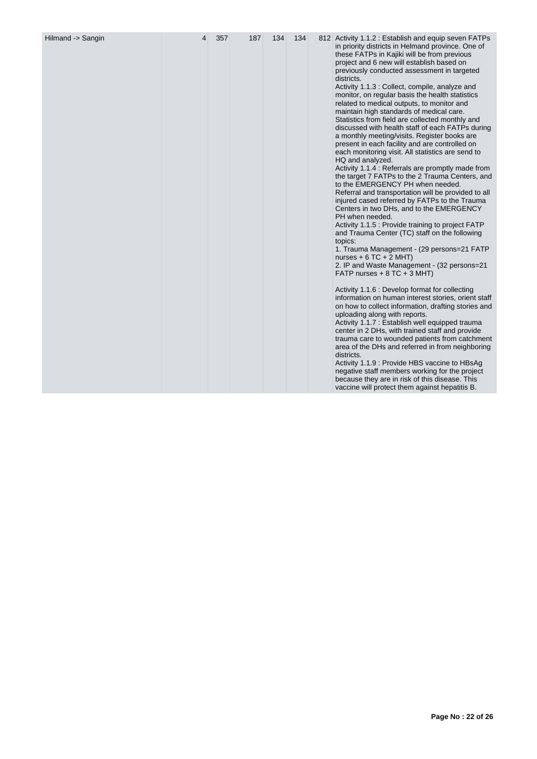| Hilmand -> Sangin | 4 | 357 | 187 | 134 | 134 |  | 812 Activity 1.1.2 : Establish and equip seven FATPs<br>in priority districts in Helmand province. One of<br>these FATPs in Kajiki will be from previous<br>project and 6 new will establish based on<br>previously conducted assessment in targeted<br>districts.<br>Activity 1.1.3 : Collect, compile, analyze and<br>monitor, on regular basis the health statistics<br>related to medical outputs, to monitor and<br>maintain high standards of medical care.<br>Statistics from field are collected monthly and<br>discussed with health staff of each FATPs during<br>a monthly meeting/visits. Register books are<br>present in each facility and are controlled on<br>each monitoring visit. All statistics are send to<br>HQ and analyzed.<br>Activity 1.1.4 : Referrals are promptly made from<br>the target 7 FATPs to the 2 Trauma Centers, and<br>to the EMERGENCY PH when needed.<br>Referral and transportation will be provided to all<br>injured cased referred by FATPs to the Trauma<br>Centers in two DHs, and to the EMERGENCY<br>PH when needed.<br>Activity 1.1.5 : Provide training to project FATP<br>and Trauma Center (TC) staff on the following<br>topics:<br>1. Trauma Management - (29 persons=21 FATP<br>nurses + $6$ TC + $2$ MHT)<br>2. IP and Waste Management - (32 persons=21<br>FATP nurses $+ 8$ TC $+ 3$ MHT)<br>Activity 1.1.6 : Develop format for collecting<br>information on human interest stories, orient staff<br>on how to collect information, drafting stories and<br>uploading along with reports.<br>Activity 1.1.7 : Establish well equipped trauma<br>center in 2 DHs, with trained staff and provide<br>trauma care to wounded patients from catchment<br>area of the DHs and referred in from neighboring<br>districts.<br>Activity 1.1.9 : Provide HBS vaccine to HBsAg<br>negative staff members working for the project<br>because they are in risk of this disease. This<br>vaccine will protect them against hepatitis B. |
|-------------------|---|-----|-----|-----|-----|--|-----------------------------------------------------------------------------------------------------------------------------------------------------------------------------------------------------------------------------------------------------------------------------------------------------------------------------------------------------------------------------------------------------------------------------------------------------------------------------------------------------------------------------------------------------------------------------------------------------------------------------------------------------------------------------------------------------------------------------------------------------------------------------------------------------------------------------------------------------------------------------------------------------------------------------------------------------------------------------------------------------------------------------------------------------------------------------------------------------------------------------------------------------------------------------------------------------------------------------------------------------------------------------------------------------------------------------------------------------------------------------------------------------------------------------------------------------------------------------------------------------------------------------------------------------------------------------------------------------------------------------------------------------------------------------------------------------------------------------------------------------------------------------------------------------------------------------------------------------------------------------------------------------------------------------------------------------------------------------------------|
|-------------------|---|-----|-----|-----|-----|--|-----------------------------------------------------------------------------------------------------------------------------------------------------------------------------------------------------------------------------------------------------------------------------------------------------------------------------------------------------------------------------------------------------------------------------------------------------------------------------------------------------------------------------------------------------------------------------------------------------------------------------------------------------------------------------------------------------------------------------------------------------------------------------------------------------------------------------------------------------------------------------------------------------------------------------------------------------------------------------------------------------------------------------------------------------------------------------------------------------------------------------------------------------------------------------------------------------------------------------------------------------------------------------------------------------------------------------------------------------------------------------------------------------------------------------------------------------------------------------------------------------------------------------------------------------------------------------------------------------------------------------------------------------------------------------------------------------------------------------------------------------------------------------------------------------------------------------------------------------------------------------------------------------------------------------------------------------------------------------------------|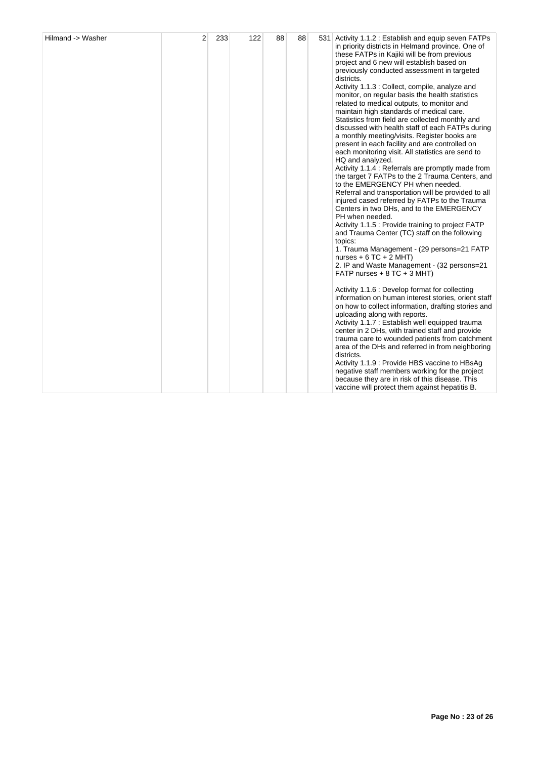| Hilmand -> Washer | $\overline{2}$ | 233 | 122 | 88 | 88 |  | 531 Activity 1.1.2 : Establish and equip seven FATPs<br>in priority districts in Helmand province. One of<br>these FATPs in Kajiki will be from previous<br>project and 6 new will establish based on<br>previously conducted assessment in targeted<br>districts.<br>Activity 1.1.3 : Collect, compile, analyze and<br>monitor, on regular basis the health statistics<br>related to medical outputs, to monitor and<br>maintain high standards of medical care.<br>Statistics from field are collected monthly and<br>discussed with health staff of each FATPs during<br>a monthly meeting/visits. Register books are<br>present in each facility and are controlled on<br>each monitoring visit. All statistics are send to<br>HQ and analyzed.<br>Activity 1.1.4 : Referrals are promptly made from<br>the target 7 FATPs to the 2 Trauma Centers, and<br>to the EMERGENCY PH when needed.<br>Referral and transportation will be provided to all<br>injured cased referred by FATPs to the Trauma<br>Centers in two DHs, and to the EMERGENCY<br>PH when needed.<br>Activity 1.1.5 : Provide training to project FATP<br>and Trauma Center (TC) staff on the following<br>topics:<br>1. Trauma Management - (29 persons=21 FATP<br>nurses + $6$ TC + $2$ MHT)<br>2. IP and Waste Management - (32 persons=21<br>FATP nurses $+ 8$ TC $+ 3$ MHT)<br>Activity 1.1.6 : Develop format for collecting<br>information on human interest stories, orient staff<br>on how to collect information, drafting stories and<br>uploading along with reports.<br>Activity 1.1.7 : Establish well equipped trauma<br>center in 2 DHs, with trained staff and provide<br>trauma care to wounded patients from catchment<br>area of the DHs and referred in from neighboring<br>districts.<br>Activity 1.1.9 : Provide HBS vaccine to HBsAg<br>negative staff members working for the project<br>because they are in risk of this disease. This<br>vaccine will protect them against hepatitis B. |
|-------------------|----------------|-----|-----|----|----|--|-----------------------------------------------------------------------------------------------------------------------------------------------------------------------------------------------------------------------------------------------------------------------------------------------------------------------------------------------------------------------------------------------------------------------------------------------------------------------------------------------------------------------------------------------------------------------------------------------------------------------------------------------------------------------------------------------------------------------------------------------------------------------------------------------------------------------------------------------------------------------------------------------------------------------------------------------------------------------------------------------------------------------------------------------------------------------------------------------------------------------------------------------------------------------------------------------------------------------------------------------------------------------------------------------------------------------------------------------------------------------------------------------------------------------------------------------------------------------------------------------------------------------------------------------------------------------------------------------------------------------------------------------------------------------------------------------------------------------------------------------------------------------------------------------------------------------------------------------------------------------------------------------------------------------------------------------------------------------------------------|
|-------------------|----------------|-----|-----|----|----|--|-----------------------------------------------------------------------------------------------------------------------------------------------------------------------------------------------------------------------------------------------------------------------------------------------------------------------------------------------------------------------------------------------------------------------------------------------------------------------------------------------------------------------------------------------------------------------------------------------------------------------------------------------------------------------------------------------------------------------------------------------------------------------------------------------------------------------------------------------------------------------------------------------------------------------------------------------------------------------------------------------------------------------------------------------------------------------------------------------------------------------------------------------------------------------------------------------------------------------------------------------------------------------------------------------------------------------------------------------------------------------------------------------------------------------------------------------------------------------------------------------------------------------------------------------------------------------------------------------------------------------------------------------------------------------------------------------------------------------------------------------------------------------------------------------------------------------------------------------------------------------------------------------------------------------------------------------------------------------------------------|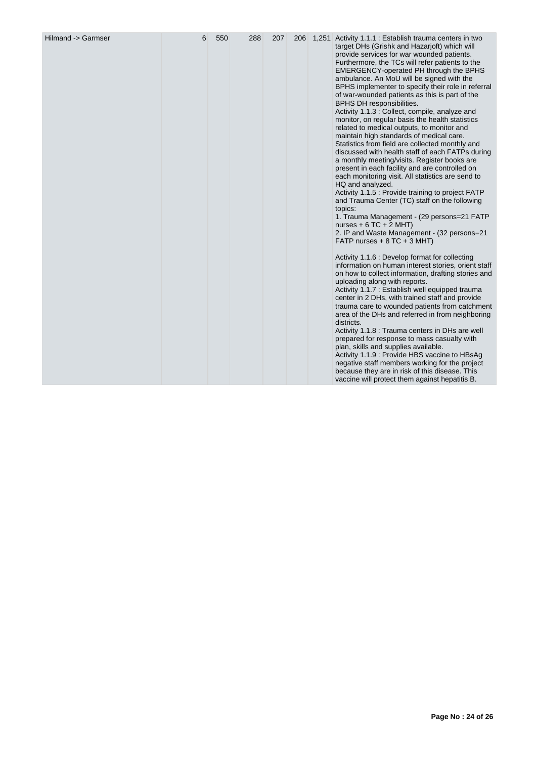| Hilmand -> Garmser | 6 | 550 | 288 | 207 | 206 |  | 1,251 Activity 1.1.1 : Establish trauma centers in two<br>target DHs (Grishk and Hazarjoft) which will<br>provide services for war wounded patients.<br>Furthermore, the TCs will refer patients to the<br>EMERGENCY-operated PH through the BPHS<br>ambulance. An MoU will be signed with the<br>BPHS implementer to specify their role in referral<br>of war-wounded patients as this is part of the<br>BPHS DH responsibilities.<br>Activity 1.1.3 : Collect, compile, analyze and<br>monitor, on regular basis the health statistics<br>related to medical outputs, to monitor and<br>maintain high standards of medical care.<br>Statistics from field are collected monthly and<br>discussed with health staff of each FATPs during<br>a monthly meeting/visits. Register books are<br>present in each facility and are controlled on<br>each monitoring visit. All statistics are send to<br>HQ and analyzed.<br>Activity 1.1.5 : Provide training to project FATP<br>and Trauma Center (TC) staff on the following<br>topics:<br>1. Trauma Management - (29 persons=21 FATP<br>nurses + $6$ TC + 2 MHT)<br>2. IP and Waste Management - (32 persons=21<br>FATP nurses $+8$ TC $+3$ MHT)<br>Activity 1.1.6 : Develop format for collecting<br>information on human interest stories, orient staff<br>on how to collect information, drafting stories and<br>uploading along with reports.<br>Activity 1.1.7 : Establish well equipped trauma<br>center in 2 DHs, with trained staff and provide<br>trauma care to wounded patients from catchment<br>area of the DHs and referred in from neighboring<br>districts.<br>Activity 1.1.8 : Trauma centers in DHs are well<br>prepared for response to mass casualty with<br>plan, skills and supplies available.<br>Activity 1.1.9 : Provide HBS vaccine to HBsAg<br>negative staff members working for the project<br>because they are in risk of this disease. This<br>vaccine will protect them against hepatitis B. |
|--------------------|---|-----|-----|-----|-----|--|-----------------------------------------------------------------------------------------------------------------------------------------------------------------------------------------------------------------------------------------------------------------------------------------------------------------------------------------------------------------------------------------------------------------------------------------------------------------------------------------------------------------------------------------------------------------------------------------------------------------------------------------------------------------------------------------------------------------------------------------------------------------------------------------------------------------------------------------------------------------------------------------------------------------------------------------------------------------------------------------------------------------------------------------------------------------------------------------------------------------------------------------------------------------------------------------------------------------------------------------------------------------------------------------------------------------------------------------------------------------------------------------------------------------------------------------------------------------------------------------------------------------------------------------------------------------------------------------------------------------------------------------------------------------------------------------------------------------------------------------------------------------------------------------------------------------------------------------------------------------------------------------------------------------------------------------------------------------------------|
|--------------------|---|-----|-----|-----|-----|--|-----------------------------------------------------------------------------------------------------------------------------------------------------------------------------------------------------------------------------------------------------------------------------------------------------------------------------------------------------------------------------------------------------------------------------------------------------------------------------------------------------------------------------------------------------------------------------------------------------------------------------------------------------------------------------------------------------------------------------------------------------------------------------------------------------------------------------------------------------------------------------------------------------------------------------------------------------------------------------------------------------------------------------------------------------------------------------------------------------------------------------------------------------------------------------------------------------------------------------------------------------------------------------------------------------------------------------------------------------------------------------------------------------------------------------------------------------------------------------------------------------------------------------------------------------------------------------------------------------------------------------------------------------------------------------------------------------------------------------------------------------------------------------------------------------------------------------------------------------------------------------------------------------------------------------------------------------------------------------|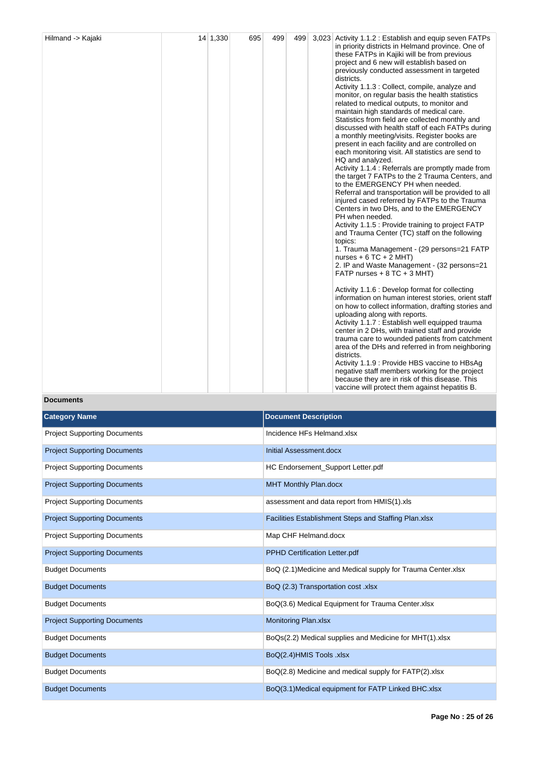| Hilmand -> Kajaki | 14 1,330 | 695 | 499 | 499 | 3,023 Activity 1.1.2 : Establish and equip seven FATPs<br>in priority districts in Helmand province. One of<br>these FATPs in Kajiki will be from previous<br>project and 6 new will establish based on<br>previously conducted assessment in targeted<br>districts.<br>Activity 1.1.3 : Collect, compile, analyze and<br>monitor, on regular basis the health statistics<br>related to medical outputs, to monitor and<br>maintain high standards of medical care.<br>Statistics from field are collected monthly and<br>discussed with health staff of each FATPs during<br>a monthly meeting/visits. Register books are<br>present in each facility and are controlled on<br>each monitoring visit. All statistics are send to<br>HQ and analyzed.<br>Activity 1.1.4 : Referrals are promptly made from<br>the target 7 FATPs to the 2 Trauma Centers, and<br>to the EMERGENCY PH when needed.<br>Referral and transportation will be provided to all<br>injured cased referred by FATPs to the Trauma<br>Centers in two DHs, and to the EMERGENCY<br>PH when needed.<br>Activity 1.1.5 : Provide training to project FATP<br>and Trauma Center (TC) staff on the following<br>topics:<br>1. Trauma Management - (29 persons=21 FATP<br>nurses + $6$ TC + $2$ MHT)<br>2. IP and Waste Management - (32 persons=21<br>FATP nurses $+8$ TC $+3$ MHT)<br>Activity 1.1.6 : Develop format for collecting<br>information on human interest stories, orient staff<br>on how to collect information, drafting stories and<br>uploading along with reports.<br>Activity 1.1.7 : Establish well equipped trauma<br>center in 2 DHs, with trained staff and provide<br>trauma care to wounded patients from catchment<br>area of the DHs and referred in from neighboring<br>districts.<br>Activity 1.1.9 : Provide HBS vaccine to HBsAg<br>negative staff members working for the project |
|-------------------|----------|-----|-----|-----|-------------------------------------------------------------------------------------------------------------------------------------------------------------------------------------------------------------------------------------------------------------------------------------------------------------------------------------------------------------------------------------------------------------------------------------------------------------------------------------------------------------------------------------------------------------------------------------------------------------------------------------------------------------------------------------------------------------------------------------------------------------------------------------------------------------------------------------------------------------------------------------------------------------------------------------------------------------------------------------------------------------------------------------------------------------------------------------------------------------------------------------------------------------------------------------------------------------------------------------------------------------------------------------------------------------------------------------------------------------------------------------------------------------------------------------------------------------------------------------------------------------------------------------------------------------------------------------------------------------------------------------------------------------------------------------------------------------------------------------------------------------------------------------------------------------------------------------------------------------------------------------|
|                   |          |     |     |     | because they are in risk of this disease. This<br>vaccine will protect them against hepatitis B.                                                                                                                                                                                                                                                                                                                                                                                                                                                                                                                                                                                                                                                                                                                                                                                                                                                                                                                                                                                                                                                                                                                                                                                                                                                                                                                                                                                                                                                                                                                                                                                                                                                                                                                                                                                    |

# **Documents**

| <b>Category Name</b>                | <b>Document Description</b>                                  |
|-------------------------------------|--------------------------------------------------------------|
| <b>Project Supporting Documents</b> | Incidence HFs Helmand.xlsx                                   |
| <b>Project Supporting Documents</b> | Initial Assessment.docx                                      |
| <b>Project Supporting Documents</b> | HC Endorsement_Support Letter.pdf                            |
| <b>Project Supporting Documents</b> | <b>MHT Monthly Plan.docx</b>                                 |
| <b>Project Supporting Documents</b> | assessment and data report from HMIS(1).xls                  |
| <b>Project Supporting Documents</b> | Facilities Establishment Steps and Staffing Plan.xlsx        |
| <b>Project Supporting Documents</b> | Map CHF Helmand.docx                                         |
| <b>Project Supporting Documents</b> | PPHD Certification Letter.pdf                                |
| <b>Budget Documents</b>             | BoQ (2.1) Medicine and Medical supply for Trauma Center.xlsx |
| <b>Budget Documents</b>             | BoQ (2.3) Transportation cost .xlsx                          |
| <b>Budget Documents</b>             | BoQ(3.6) Medical Equipment for Trauma Center.xlsx            |
| <b>Project Supporting Documents</b> | <b>Monitoring Plan.xlsx</b>                                  |
| <b>Budget Documents</b>             | BoQs(2.2) Medical supplies and Medicine for MHT(1).xlsx      |
| <b>Budget Documents</b>             | BoQ(2.4)HMIS Tools .xlsx                                     |
| <b>Budget Documents</b>             | BoQ(2.8) Medicine and medical supply for FATP(2).xlsx        |
| <b>Budget Documents</b>             | BoQ(3.1)Medical equipment for FATP Linked BHC.xlsx           |